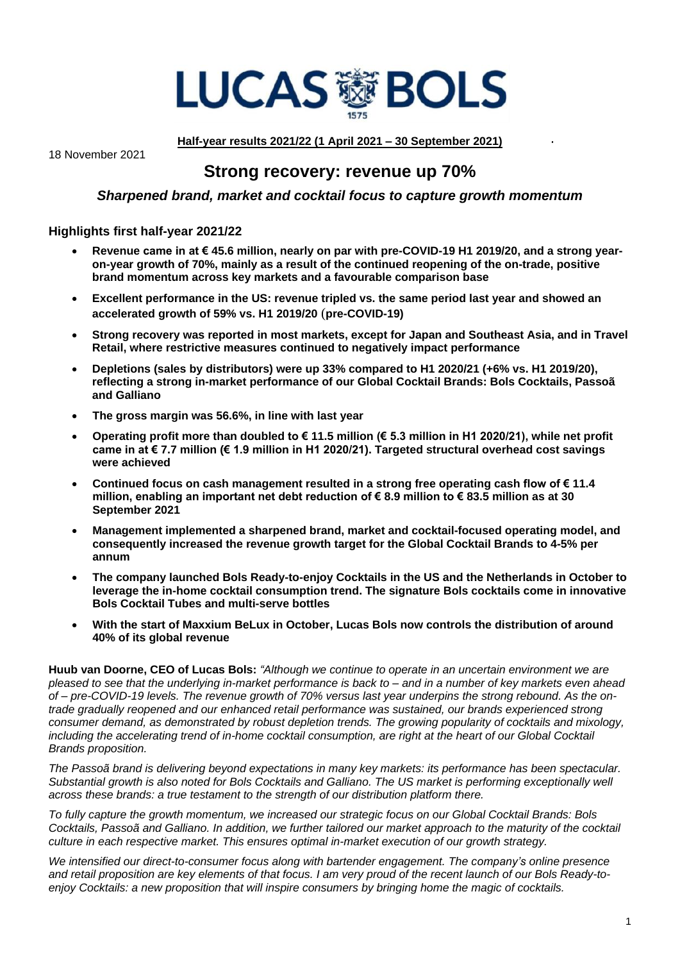

18 November 2021

**Half-year results 2021/22 (1 April 2021 – 30 September 2021)**

# **Strong recovery: revenue up 70%**

# *Sharpened brand, market and cocktail focus to capture growth momentum*

# **Highlights first half-year 2021/22**

- **Revenue came in at € 45.6 million, nearly on par with pre-COVID-19 H1 2019/20, and a strong yearon-year growth of 70%, mainly as a result of the continued reopening of the on-trade, positive brand momentum across key markets and a favourable comparison base**
- **Excellent performance in the US: revenue tripled vs. the same period last year and showed an accelerated growth of 59% vs. H1 2019/20** (**pre-COVID-19)**
- **Strong recovery was reported in most markets, except for Japan and Southeast Asia, and in Travel Retail, where restrictive measures continued to negatively impact performance**
- **Depletions (sales by distributors) were up 33% compared to H1 2020/21 (+6% vs. H1 2019/20), reflecting a strong in-market performance of our Global Cocktail Brands: Bols Cocktails, Passoã and Galliano**
- **The gross margin was 56.6%, in line with last year**
- **Operating profit more than doubled to € 11.5 million (€ 5.3 million in H1 2020/21), while net profit came in at € 7.7 million (€ 1.9 million in H1 2020/21). Targeted structural overhead cost savings were achieved**
- **Continued focus on cash management resulted in a strong free operating cash flow of € 11.4 million, enabling an important net debt reduction of € 8.9 million to € 83.5 million as at 30 September 2021**
- **Management implemented a sharpened brand, market and cocktail-focused operating model, and consequently increased the revenue growth target for the Global Cocktail Brands to 4-5% per annum**
- **The company launched Bols Ready-to-enjoy Cocktails in the US and the Netherlands in October to leverage the in-home cocktail consumption trend. The signature Bols cocktails come in innovative Bols Cocktail Tubes and multi-serve bottles**
- **With the start of Maxxium BeLux in October, Lucas Bols now controls the distribution of around 40% of its global revenue**

**Huub van Doorne, CEO of Lucas Bols:** *"Although we continue to operate in an uncertain environment we are pleased to see that the underlying in-market performance is back to – and in a number of key markets even ahead of – pre-COVID-19 levels. The revenue growth of 70% versus last year underpins the strong rebound. As the ontrade gradually reopened and our enhanced retail performance was sustained, our brands experienced strong consumer demand, as demonstrated by robust depletion trends. The growing popularity of cocktails and mixology, including the accelerating trend of in-home cocktail consumption, are right at the heart of our Global Cocktail Brands proposition.* 

*The Passoã brand is delivering beyond expectations in many key markets: its performance has been spectacular. Substantial growth is also noted for Bols Cocktails and Galliano. The US market is performing exceptionally well across these brands: a true testament to the strength of our distribution platform there.*

*To fully capture the growth momentum, we increased our strategic focus on our Global Cocktail Brands: Bols Cocktails, Passoã and Galliano. In addition, we further tailored our market approach to the maturity of the cocktail culture in each respective market. This ensures optimal in-market execution of our growth strategy.* 

*We intensified our direct-to-consumer focus along with bartender engagement. The company's online presence and retail proposition are key elements of that focus. I am very proud of the recent launch of our Bols Ready-toenjoy Cocktails: a new proposition that will inspire consumers by bringing home the magic of cocktails.*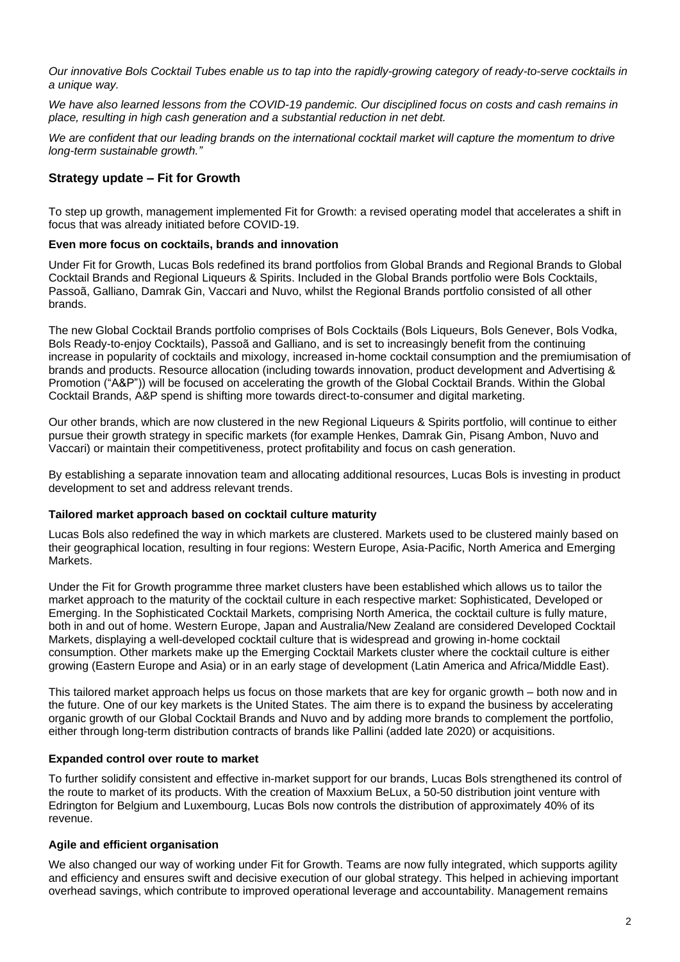*Our innovative Bols Cocktail Tubes enable us to tap into the rapidly-growing category of ready-to-serve cocktails in a unique way.*

*We have also learned lessons from the COVID-19 pandemic. Our disciplined focus on costs and cash remains in place, resulting in high cash generation and a substantial reduction in net debt.*

We are confident that our leading brands on the international cocktail market will capture the momentum to drive *long-term sustainable growth."*

# **Strategy update – Fit for Growth**

To step up growth, management implemented Fit for Growth: a revised operating model that accelerates a shift in focus that was already initiated before COVID-19.

# **Even more focus on cocktails, brands and innovation**

Under Fit for Growth, Lucas Bols redefined its brand portfolios from Global Brands and Regional Brands to Global Cocktail Brands and Regional Liqueurs & Spirits. Included in the Global Brands portfolio were Bols Cocktails, Passoã, Galliano, Damrak Gin, Vaccari and Nuvo, whilst the Regional Brands portfolio consisted of all other brands.

The new Global Cocktail Brands portfolio comprises of Bols Cocktails (Bols Liqueurs, Bols Genever, Bols Vodka, Bols Ready-to-enjoy Cocktails), Passoã and Galliano, and is set to increasingly benefit from the continuing increase in popularity of cocktails and mixology, increased in-home cocktail consumption and the premiumisation of brands and products. Resource allocation (including towards innovation, product development and Advertising & Promotion ("A&P")) will be focused on accelerating the growth of the Global Cocktail Brands. Within the Global Cocktail Brands, A&P spend is shifting more towards direct-to-consumer and digital marketing.

Our other brands, which are now clustered in the new Regional Liqueurs & Spirits portfolio, will continue to either pursue their growth strategy in specific markets (for example Henkes, Damrak Gin, Pisang Ambon, Nuvo and Vaccari) or maintain their competitiveness, protect profitability and focus on cash generation.

By establishing a separate innovation team and allocating additional resources, Lucas Bols is investing in product development to set and address relevant trends.

### **Tailored market approach based on cocktail culture maturity**

Lucas Bols also redefined the way in which markets are clustered. Markets used to be clustered mainly based on their geographical location, resulting in four regions: Western Europe, Asia-Pacific, North America and Emerging Markets.

Under the Fit for Growth programme three market clusters have been established which allows us to tailor the market approach to the maturity of the cocktail culture in each respective market: Sophisticated, Developed or Emerging. In the Sophisticated Cocktail Markets, comprising North America, the cocktail culture is fully mature, both in and out of home. Western Europe, Japan and Australia/New Zealand are considered Developed Cocktail Markets, displaying a well-developed cocktail culture that is widespread and growing in-home cocktail consumption. Other markets make up the Emerging Cocktail Markets cluster where the cocktail culture is either growing (Eastern Europe and Asia) or in an early stage of development (Latin America and Africa/Middle East).

This tailored market approach helps us focus on those markets that are key for organic growth – both now and in the future. One of our key markets is the United States. The aim there is to expand the business by accelerating organic growth of our Global Cocktail Brands and Nuvo and by adding more brands to complement the portfolio, either through long-term distribution contracts of brands like Pallini (added late 2020) or acquisitions.

# **Expanded control over route to market**

To further solidify consistent and effective in-market support for our brands, Lucas Bols strengthened its control of the route to market of its products. With the creation of Maxxium BeLux, a 50-50 distribution joint venture with Edrington for Belgium and Luxembourg, Lucas Bols now controls the distribution of approximately 40% of its revenue.

# **Agile and efficient organisation**

We also changed our way of working under Fit for Growth. Teams are now fully integrated, which supports agility and efficiency and ensures swift and decisive execution of our global strategy. This helped in achieving important overhead savings, which contribute to improved operational leverage and accountability. Management remains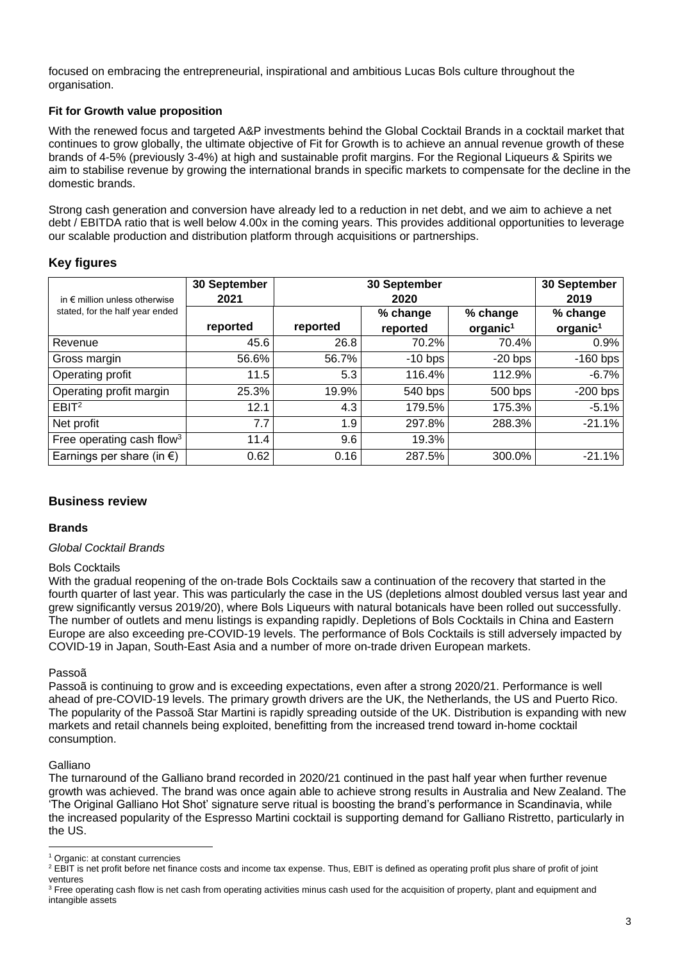focused on embracing the entrepreneurial, inspirational and ambitious Lucas Bols culture throughout the organisation.

# **Fit for Growth value proposition**

With the renewed focus and targeted A&P investments behind the Global Cocktail Brands in a cocktail market that continues to grow globally, the ultimate objective of Fit for Growth is to achieve an annual revenue growth of these brands of 4-5% (previously 3-4%) at high and sustainable profit margins. For the Regional Liqueurs & Spirits we aim to stabilise revenue by growing the international brands in specific markets to compensate for the decline in the domestic brands.

Strong cash generation and conversion have already led to a reduction in net debt, and we aim to achieve a net debt / EBITDA ratio that is well below 4.00x in the coming years. This provides additional opportunities to leverage our scalable production and distribution platform through acquisitions or partnerships.

# **Key figures**

|                                        | 30 September |          | 30 September |                      |            |
|----------------------------------------|--------------|----------|--------------|----------------------|------------|
| in $\epsilon$ million unless otherwise | 2021         |          | 2020         |                      | 2019       |
| stated, for the half year ended        |              |          | % change     | % change             | % change   |
|                                        | reported     | reported | reported     | organic <sup>1</sup> | $organic1$ |
| Revenue                                | 45.6         | 26.8     | 70.2%        | 70.4%                | 0.9%       |
| Gross margin                           | 56.6%        | 56.7%    | $-10$ bps    | $-20$ bps            | $-160$ bps |
| Operating profit                       | 11.5         | 5.3      | 116.4%       | 112.9%               | $-6.7\%$   |
| Operating profit margin                | 25.3%        | 19.9%    | 540 bps      | 500 bps              | $-200$ bps |
| EBIT <sup>2</sup>                      | 12.1         | 4.3      | 179.5%       | 175.3%               | $-5.1%$    |
| Net profit                             | 7.7          | 1.9      | 297.8%       | 288.3%               | $-21.1%$   |
| Free operating cash flow <sup>3</sup>  | 11.4         | 9.6      | 19.3%        |                      |            |
| Earnings per share (in $\epsilon$ )    | 0.62         | 0.16     | 287.5%       | 300.0%               | $-21.1%$   |

# **Business review**

# **Brands**

# *Global Cocktail Brands*

# Bols Cocktails

With the gradual reopening of the on-trade Bols Cocktails saw a continuation of the recovery that started in the fourth quarter of last year. This was particularly the case in the US (depletions almost doubled versus last year and grew significantly versus 2019/20), where Bols Liqueurs with natural botanicals have been rolled out successfully. The number of outlets and menu listings is expanding rapidly. Depletions of Bols Cocktails in China and Eastern Europe are also exceeding pre-COVID-19 levels. The performance of Bols Cocktails is still adversely impacted by COVID-19 in Japan, South-East Asia and a number of more on-trade driven European markets.

# Passoã

Passoã is continuing to grow and is exceeding expectations, even after a strong 2020/21. Performance is well ahead of pre-COVID-19 levels. The primary growth drivers are the UK, the Netherlands, the US and Puerto Rico. The popularity of the Passoã Star Martini is rapidly spreading outside of the UK. Distribution is expanding with new markets and retail channels being exploited, benefitting from the increased trend toward in-home cocktail consumption.

# Galliano

The turnaround of the Galliano brand recorded in 2020/21 continued in the past half year when further revenue growth was achieved. The brand was once again able to achieve strong results in Australia and New Zealand. The 'The Original Galliano Hot Shot' signature serve ritual is boosting the brand's performance in Scandinavia, while the increased popularity of the Espresso Martini cocktail is supporting demand for Galliano Ristretto, particularly in the US.

<sup>1</sup> Organic: at constant currencies

<sup>&</sup>lt;sup>2</sup> EBIT is net profit before net finance costs and income tax expense. Thus, EBIT is defined as operating profit plus share of profit of joint ventures

<sup>&</sup>lt;sup>3</sup> Free operating cash flow is net cash from operating activities minus cash used for the acquisition of property, plant and equipment and intangible assets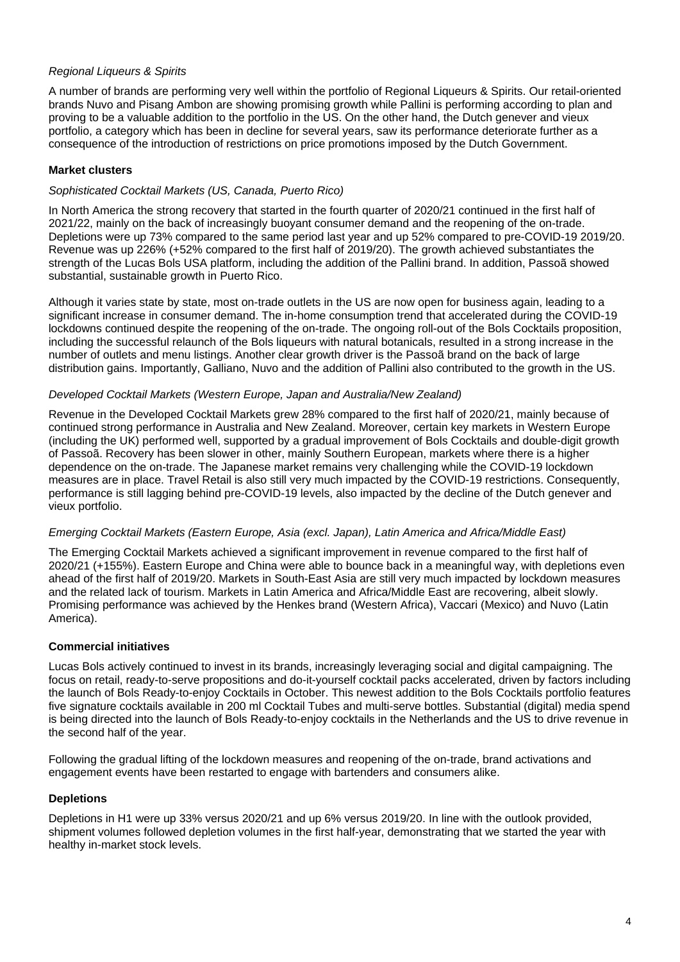# *Regional Liqueurs & Spirits*

A number of brands are performing very well within the portfolio of Regional Liqueurs & Spirits. Our retail-oriented brands Nuvo and Pisang Ambon are showing promising growth while Pallini is performing according to plan and proving to be a valuable addition to the portfolio in the US. On the other hand, the Dutch genever and vieux portfolio, a category which has been in decline for several years, saw its performance deteriorate further as a consequence of the introduction of restrictions on price promotions imposed by the Dutch Government.

# **Market clusters**

## *Sophisticated Cocktail Markets (US, Canada, Puerto Rico)*

In North America the strong recovery that started in the fourth quarter of 2020/21 continued in the first half of 2021/22, mainly on the back of increasingly buoyant consumer demand and the reopening of the on-trade. Depletions were up 73% compared to the same period last year and up 52% compared to pre-COVID-19 2019/20. Revenue was up 226% (+52% compared to the first half of 2019/20). The growth achieved substantiates the strength of the Lucas Bols USA platform, including the addition of the Pallini brand. In addition, Passoã showed substantial, sustainable growth in Puerto Rico.

Although it varies state by state, most on-trade outlets in the US are now open for business again, leading to a significant increase in consumer demand. The in-home consumption trend that accelerated during the COVID-19 lockdowns continued despite the reopening of the on-trade. The ongoing roll-out of the Bols Cocktails proposition, including the successful relaunch of the Bols liqueurs with natural botanicals, resulted in a strong increase in the number of outlets and menu listings. Another clear growth driver is the Passoã brand on the back of large distribution gains. Importantly, Galliano, Nuvo and the addition of Pallini also contributed to the growth in the US.

## *Developed Cocktail Markets (Western Europe, Japan and Australia/New Zealand)*

Revenue in the Developed Cocktail Markets grew 28% compared to the first half of 2020/21, mainly because of continued strong performance in Australia and New Zealand. Moreover, certain key markets in Western Europe (including the UK) performed well, supported by a gradual improvement of Bols Cocktails and double-digit growth of Passoã. Recovery has been slower in other, mainly Southern European, markets where there is a higher dependence on the on-trade. The Japanese market remains very challenging while the COVID-19 lockdown measures are in place. Travel Retail is also still very much impacted by the COVID-19 restrictions. Consequently, performance is still lagging behind pre-COVID-19 levels, also impacted by the decline of the Dutch genever and vieux portfolio.

### *Emerging Cocktail Markets (Eastern Europe, Asia (excl. Japan), Latin America and Africa/Middle East)*

The Emerging Cocktail Markets achieved a significant improvement in revenue compared to the first half of 2020/21 (+155%). Eastern Europe and China were able to bounce back in a meaningful way, with depletions even ahead of the first half of 2019/20. Markets in South-East Asia are still very much impacted by lockdown measures and the related lack of tourism. Markets in Latin America and Africa/Middle East are recovering, albeit slowly. Promising performance was achieved by the Henkes brand (Western Africa), Vaccari (Mexico) and Nuvo (Latin America).

# **Commercial initiatives**

Lucas Bols actively continued to invest in its brands, increasingly leveraging social and digital campaigning. The focus on retail, ready-to-serve propositions and do-it-yourself cocktail packs accelerated, driven by factors including the launch of Bols Ready-to-enjoy Cocktails in October. This newest addition to the Bols Cocktails portfolio features five signature cocktails available in 200 ml Cocktail Tubes and multi-serve bottles. Substantial (digital) media spend is being directed into the launch of Bols Ready-to-enjoy cocktails in the Netherlands and the US to drive revenue in the second half of the year.

Following the gradual lifting of the lockdown measures and reopening of the on-trade, brand activations and engagement events have been restarted to engage with bartenders and consumers alike.

# **Depletions**

Depletions in H1 were up 33% versus 2020/21 and up 6% versus 2019/20. In line with the outlook provided, shipment volumes followed depletion volumes in the first half-year, demonstrating that we started the year with healthy in-market stock levels.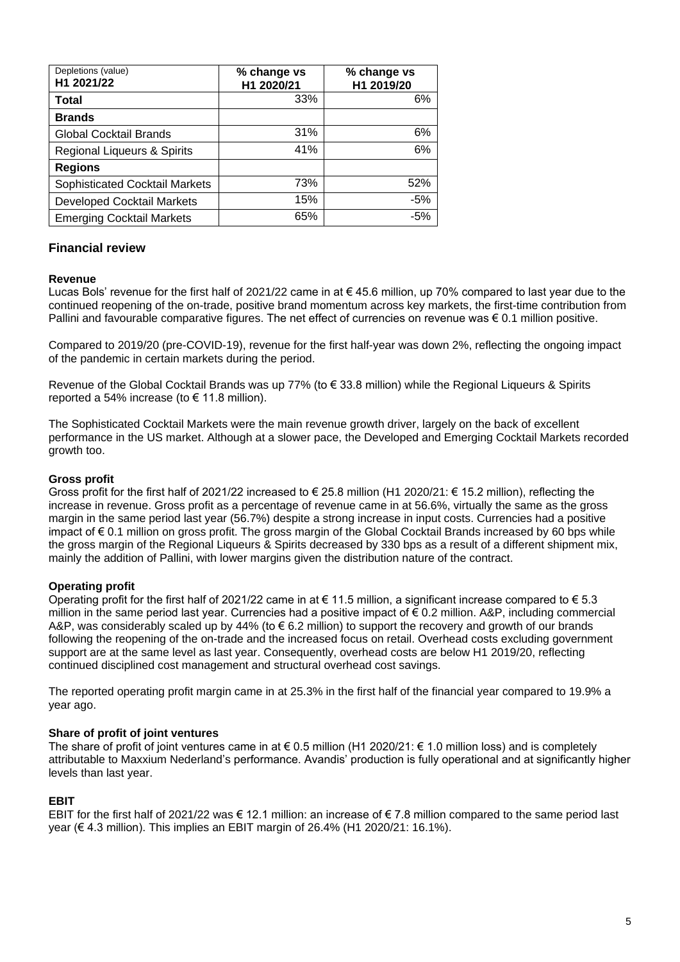| Depletions (value)<br>H1 2021/22      | % change vs<br>H1 2020/21 | % change vs<br>H1 2019/20 |
|---------------------------------------|---------------------------|---------------------------|
| <b>Total</b>                          | 33%                       | 6%                        |
| <b>Brands</b>                         |                           |                           |
| <b>Global Cocktail Brands</b>         | 31%                       | 6%                        |
| Regional Liqueurs & Spirits           | 41%                       | 6%                        |
| <b>Regions</b>                        |                           |                           |
| <b>Sophisticated Cocktail Markets</b> | 73%                       | 52%                       |
| <b>Developed Cocktail Markets</b>     | 15%                       | $-5%$                     |
| <b>Emerging Cocktail Markets</b>      | 65%                       | -5%                       |

# **Financial review**

### **Revenue**

Lucas Bols' revenue for the first half of 2021/22 came in at € 45.6 million, up 70% compared to last year due to the continued reopening of the on-trade, positive brand momentum across key markets, the first-time contribution from Pallini and favourable comparative figures. The net effect of currencies on revenue was € 0.1 million positive.

Compared to 2019/20 (pre-COVID-19), revenue for the first half-year was down 2%, reflecting the ongoing impact of the pandemic in certain markets during the period.

Revenue of the Global Cocktail Brands was up 77% (to € 33.8 million) while the Regional Liqueurs & Spirits reported a 54% increase (to  $\epsilon$  11.8 million).

The Sophisticated Cocktail Markets were the main revenue growth driver, largely on the back of excellent performance in the US market. Although at a slower pace, the Developed and Emerging Cocktail Markets recorded growth too.

## **Gross profit**

Gross profit for the first half of 2021/22 increased to € 25.8 million (H1 2020/21: € 15.2 million), reflecting the increase in revenue. Gross profit as a percentage of revenue came in at 56.6%, virtually the same as the gross margin in the same period last year (56.7%) despite a strong increase in input costs. Currencies had a positive impact of € 0.1 million on gross profit. The gross margin of the Global Cocktail Brands increased by 60 bps while the gross margin of the Regional Liqueurs & Spirits decreased by 330 bps as a result of a different shipment mix, mainly the addition of Pallini, with lower margins given the distribution nature of the contract.

# **Operating profit**

Operating profit for the first half of 2021/22 came in at  $\epsilon$  11.5 million, a significant increase compared to  $\epsilon$  5.3 million in the same period last year. Currencies had a positive impact of  $\epsilon$  0.2 million. A&P, including commercial A&P, was considerably scaled up by 44% (to  $\epsilon$  6.2 million) to support the recovery and growth of our brands following the reopening of the on-trade and the increased focus on retail. Overhead costs excluding government support are at the same level as last year. Consequently, overhead costs are below H1 2019/20, reflecting continued disciplined cost management and structural overhead cost savings.

The reported operating profit margin came in at 25.3% in the first half of the financial year compared to 19.9% a year ago.

### **Share of profit of joint ventures**

The share of profit of joint ventures came in at  $\epsilon$  0.5 million (H1 2020/21:  $\epsilon$  1.0 million loss) and is completely attributable to Maxxium Nederland's performance. Avandis' production is fully operational and at significantly higher levels than last year.

# **EBIT**

EBIT for the first half of 2021/22 was € 12.1 million: an increase of € 7.8 million compared to the same period last year (€ 4.3 million). This implies an EBIT margin of 26.4% (H1 2020/21: 16.1%).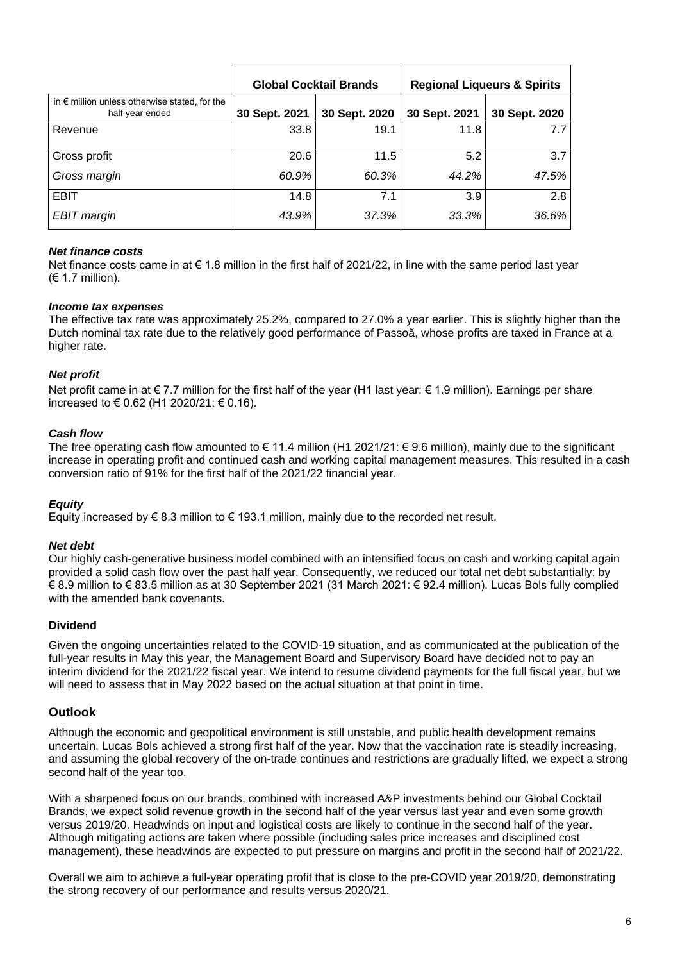|                                                                           | <b>Global Cocktail Brands</b> |               |               | <b>Regional Liqueurs &amp; Spirits</b> |
|---------------------------------------------------------------------------|-------------------------------|---------------|---------------|----------------------------------------|
| in $\epsilon$ million unless otherwise stated, for the<br>half year ended | 30 Sept. 2021                 | 30 Sept. 2020 | 30 Sept. 2021 | 30 Sept. 2020                          |
| Revenue                                                                   | 33.8                          | 19.1          | 11.8          | 7.7                                    |
| Gross profit                                                              | 20.6                          | 11.5          | 5.2           | 3.7                                    |
| Gross margin                                                              | 60.9%                         | 60.3%         | 44.2%         | 47.5%                                  |
| <b>EBIT</b>                                                               | 14.8                          | 7.1           | 3.9           | 2.8                                    |
| <b>EBIT</b> margin                                                        | 43.9%                         | 37.3%         | 33.3%         | 36.6%                                  |

## *Net finance costs*

Net finance costs came in at € 1.8 million in the first half of 2021/22, in line with the same period last year  $(E 1.7$  million).

### *Income tax expenses*

The effective tax rate was approximately 25.2%, compared to 27.0% a year earlier. This is slightly higher than the Dutch nominal tax rate due to the relatively good performance of Passoã, whose profits are taxed in France at a higher rate.

### *Net profit*

Net profit came in at € 7.7 million for the first half of the year (H1 last year: € 1.9 million). Earnings per share increased to € 0.62 (H1 2020/21: € 0.16).

### *Cash flow*

The free operating cash flow amounted to € 11.4 million (H1 2021/21: € 9.6 million), mainly due to the significant increase in operating profit and continued cash and working capital management measures. This resulted in a cash conversion ratio of 91% for the first half of the 2021/22 financial year.

### *Equity*

Equity increased by  $\epsilon$  8.3 million to  $\epsilon$  193.1 million, mainly due to the recorded net result.

### *Net debt*

Our highly cash-generative business model combined with an intensified focus on cash and working capital again provided a solid cash flow over the past half year. Consequently, we reduced our total net debt substantially: by € 8.9 million to € 83.5 million as at 30 September 2021 (31 March 2021: € 92.4 million). Lucas Bols fully complied with the amended bank covenants.

### **Dividend**

Given the ongoing uncertainties related to the COVID-19 situation, and as communicated at the publication of the full-year results in May this year, the Management Board and Supervisory Board have decided not to pay an interim dividend for the 2021/22 fiscal year. We intend to resume dividend payments for the full fiscal year, but we will need to assess that in May 2022 based on the actual situation at that point in time.

### **Outlook**

Although the economic and geopolitical environment is still unstable, and public health development remains uncertain, Lucas Bols achieved a strong first half of the year. Now that the vaccination rate is steadily increasing, and assuming the global recovery of the on-trade continues and restrictions are gradually lifted, we expect a strong second half of the year too.

With a sharpened focus on our brands, combined with increased A&P investments behind our Global Cocktail Brands, we expect solid revenue growth in the second half of the year versus last year and even some growth versus 2019/20. Headwinds on input and logistical costs are likely to continue in the second half of the year. Although mitigating actions are taken where possible (including sales price increases and disciplined cost management), these headwinds are expected to put pressure on margins and profit in the second half of 2021/22.

Overall we aim to achieve a full-year operating profit that is close to the pre-COVID year 2019/20, demonstrating the strong recovery of our performance and results versus 2020/21.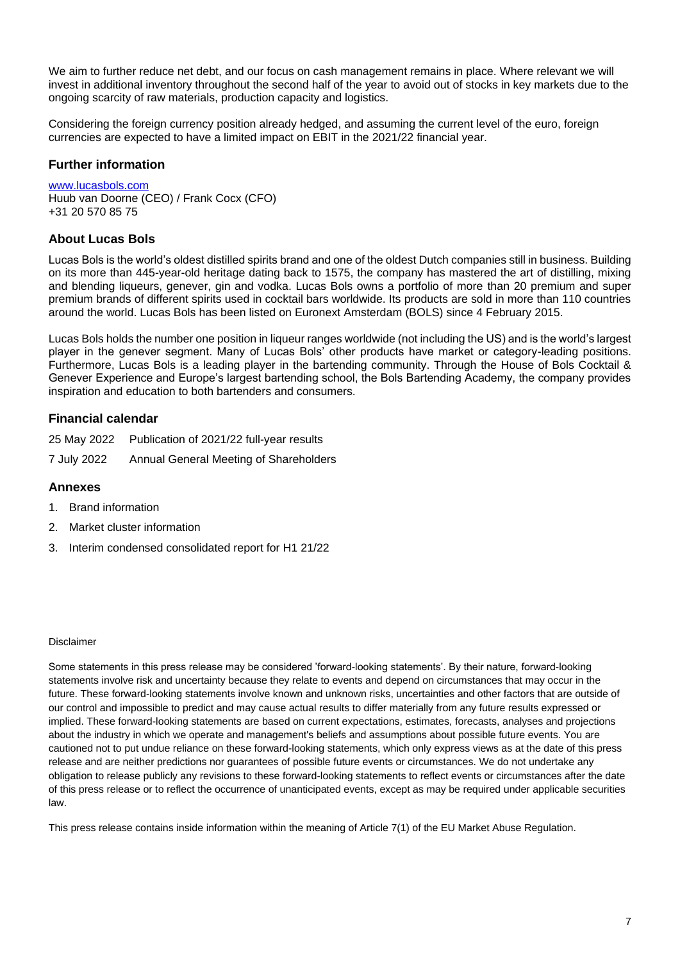We aim to further reduce net debt, and our focus on cash management remains in place. Where relevant we will invest in additional inventory throughout the second half of the year to avoid out of stocks in key markets due to the ongoing scarcity of raw materials, production capacity and logistics.

Considering the foreign currency position already hedged, and assuming the current level of the euro, foreign currencies are expected to have a limited impact on EBIT in the 2021/22 financial year.

# **Further information**

www.lucasbols.com Huub van Doorne (CEO) / Frank Cocx (CFO) +31 20 570 85 75

# **About Lucas Bols**

Lucas Bols is the world's oldest distilled spirits brand and one of the oldest Dutch companies still in business. Building on its more than 445-year-old heritage dating back to 1575, the company has mastered the art of distilling, mixing and blending liqueurs, genever, gin and vodka. Lucas Bols owns a portfolio of more than 20 premium and super premium brands of different spirits used in cocktail bars worldwide. Its products are sold in more than 110 countries around the world. Lucas Bols has been listed on Euronext Amsterdam (BOLS) since 4 February 2015.

Lucas Bols holds the number one position in liqueur ranges worldwide (not including the US) and is the world's largest player in the genever segment. Many of Lucas Bols' other products have market or category-leading positions. Furthermore, Lucas Bols is a leading player in the bartending community. Through the House of Bols Cocktail & Genever Experience and Europe's largest bartending school, the Bols Bartending Academy, the company provides inspiration and education to both bartenders and consumers.

# **Financial calendar**

| 25 May 2022 | Publication of 2021/22 full-year results |
|-------------|------------------------------------------|
| 7 July 2022 | Annual General Meeting of Shareholders   |

# **Annexes**

- 1. Brand information
- 2. Market cluster information
- 3. Interim condensed consolidated report for H1 21/22

### Disclaimer

Some statements in this press release may be considered 'forward-looking statements'. By their nature, forward-looking statements involve risk and uncertainty because they relate to events and depend on circumstances that may occur in the future. These forward-looking statements involve known and unknown risks, uncertainties and other factors that are outside of our control and impossible to predict and may cause actual results to differ materially from any future results expressed or implied. These forward-looking statements are based on current expectations, estimates, forecasts, analyses and projections about the industry in which we operate and management's beliefs and assumptions about possible future events. You are cautioned not to put undue reliance on these forward-looking statements, which only express views as at the date of this press release and are neither predictions nor guarantees of possible future events or circumstances. We do not undertake any obligation to release publicly any revisions to these forward-looking statements to reflect events or circumstances after the date of this press release or to reflect the occurrence of unanticipated events, except as may be required under applicable securities law.

This press release contains inside information within the meaning of Article 7(1) of the EU Market Abuse Regulation.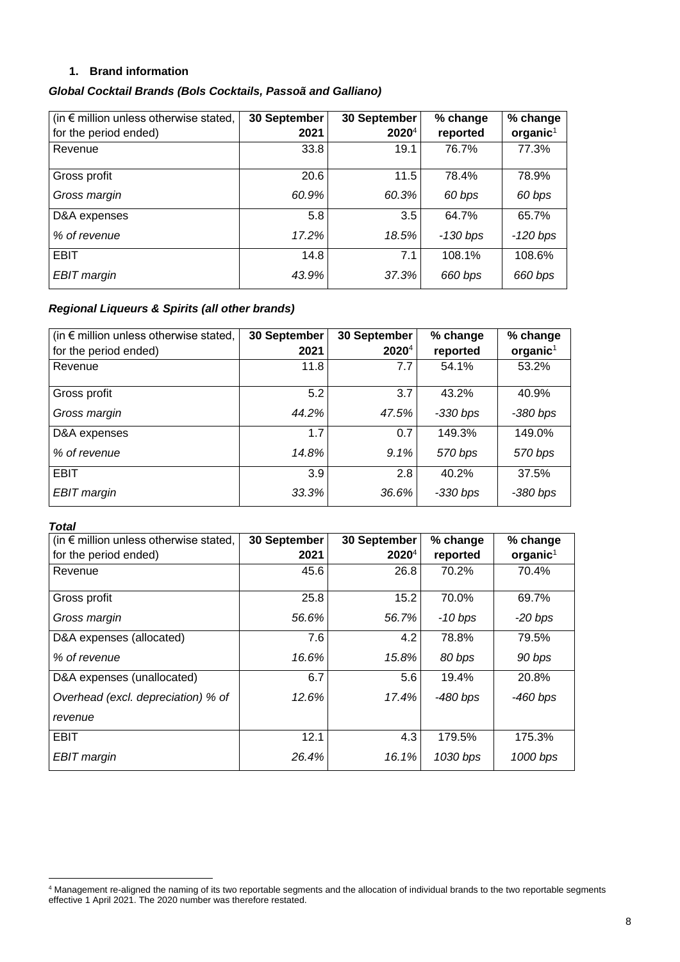# **1. Brand information**

# *Global Cocktail Brands (Bols Cocktails, Passoã and Galliano)*

| (in $\epsilon$ million unless otherwise stated, | 30 September | 30 September      | % change   | % change   |
|-------------------------------------------------|--------------|-------------------|------------|------------|
| for the period ended)                           | 2021         | 2020 <sup>4</sup> | reported   | $organic1$ |
| Revenue                                         | 33.8         | 19.1              | 76.7%      | 77.3%      |
|                                                 |              |                   |            |            |
| Gross profit                                    | 20.6         | 11.5              | 78.4%      | 78.9%      |
| Gross margin                                    | 60.9%        | 60.3%             | 60 bps     | 60 bps     |
| D&A expenses                                    | 5.8          | 3.5               | 64.7%      | 65.7%      |
| % of revenue                                    | 17.2%        | 18.5%             | $-130$ bps | $-120$ bps |
| <b>EBIT</b>                                     | 14.8         | 7.1               | 108.1%     | 108.6%     |
| EBIT margin                                     | 43.9%        | 37.3%             | 660 bps    | 660 bps    |

# *Regional Liqueurs & Spirits (all other brands)*

| (in $\epsilon$ million unless otherwise stated, | 30 September | 30 September | % change   | % change   |
|-------------------------------------------------|--------------|--------------|------------|------------|
| for the period ended)                           | 2021         | $2020^4$     | reported   | $organic1$ |
| Revenue                                         | 11.8         | 7.7          | 54.1%      | 53.2%      |
| Gross profit                                    | 5.2          | 3.7          | 43.2%      | 40.9%      |
| Gross margin                                    | 44.2%        | 47.5%        | $-330$ bps | $-380$ bps |
| D&A expenses                                    | 1.7          | 0.7          | 149.3%     | 149.0%     |
| % of revenue                                    | 14.8%        | 9.1%         | 570 bps    | 570 bps    |
| <b>EBIT</b>                                     | 3.9          | 2.8          | 40.2%      | 37.5%      |
| EBIT margin                                     | 33.3%        | 36.6%        | $-330$ bps | -380 bps   |

### *Total*

| (in $\epsilon$ million unless otherwise stated, | 30 September | 30 September | % change   | % change             |
|-------------------------------------------------|--------------|--------------|------------|----------------------|
| for the period ended)                           | 2021         | $2020^4$     | reported   | organic <sup>1</sup> |
| Revenue                                         | 45.6         | 26.8         | 70.2%      | 70.4%                |
|                                                 |              |              |            |                      |
| Gross profit                                    | 25.8         | 15.2         | 70.0%      | 69.7%                |
| Gross margin                                    | 56.6%        | 56.7%        | $-10$ bps  | $-20$ bps            |
| D&A expenses (allocated)                        | 7.6          | 4.2          | 78.8%      | 79.5%                |
| % of revenue                                    | 16.6%        | 15.8%        | 80 bps     | 90 bps               |
| D&A expenses (unallocated)                      | 6.7          | 5.6          | 19.4%      | 20.8%                |
| Overhead (excl. depreciation) % of              | 12.6%        | 17.4%        | $-480$ bps | -460 bps             |
| revenue                                         |              |              |            |                      |
| <b>EBIT</b>                                     | 12.1         | 4.3          | 179.5%     | 175.3%               |
| <b>EBIT</b> margin                              | 26.4%        | 16.1%        | 1030 bps   | 1000 bps             |

<sup>&</sup>lt;sup>4</sup> Management re-aligned the naming of its two reportable segments and the allocation of individual brands to the two reportable segments effective 1 April 2021. The 2020 number was therefore restated.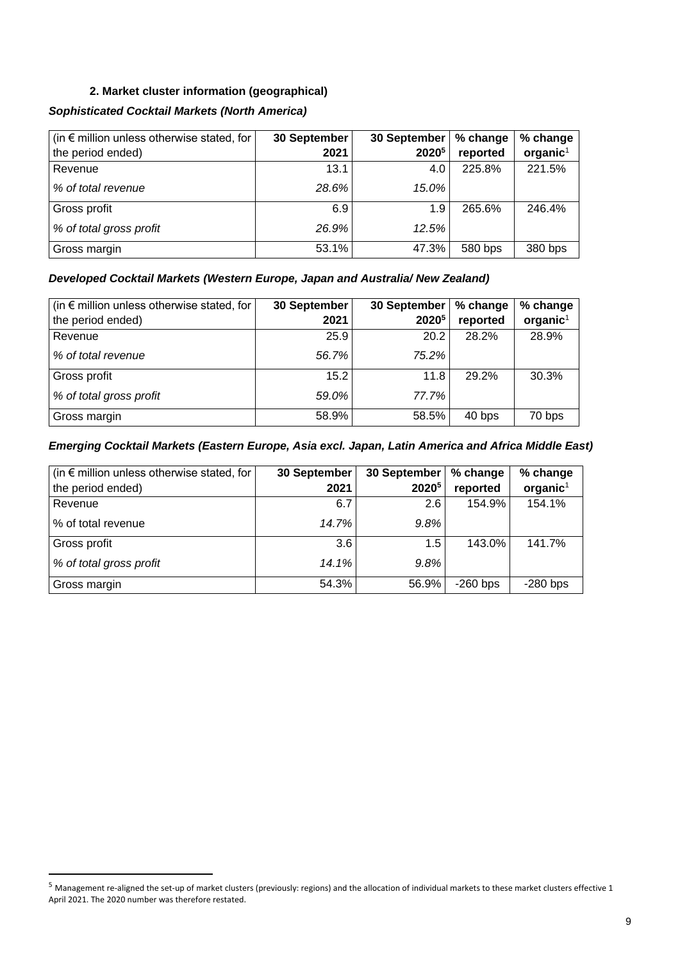# **2. Market cluster information (geographical)**

# *Sophisticated Cocktail Markets (North America)*

| $\vert$ (in $\epsilon$ million unless otherwise stated, for $\vert$ | 30 September | 30 September      | % change | % change             |
|---------------------------------------------------------------------|--------------|-------------------|----------|----------------------|
| the period ended)                                                   | 2021         | 2020 <sup>5</sup> | reported | organic <sup>1</sup> |
| Revenue                                                             | 13.1         | 4.0               | 225.8%   | 221.5%               |
| % of total revenue                                                  | 28.6%        | 15.0%             |          |                      |
| Gross profit                                                        | 6.9          | 1.9               | 265.6%   | 246.4%               |
| % of total gross profit                                             | 26.9%        | 12.5%             |          |                      |
| Gross margin                                                        | 53.1%        | 47.3%             | 580 bps  | 380 bps              |

# *Developed Cocktail Markets (Western Europe, Japan and Australia/ New Zealand)*

| (in $\epsilon$ million unless otherwise stated, for | 30 September | 30 September | % change | % change             |
|-----------------------------------------------------|--------------|--------------|----------|----------------------|
| the period ended)                                   | 2021         | 20205        | reported | organic <sup>1</sup> |
| Revenue                                             | 25.9         | 20.2         | 28.2%    | 28.9%                |
| % of total revenue                                  | 56.7%        | 75.2%        |          |                      |
| Gross profit                                        | 15.2         | 11.8         | 29.2%    | 30.3%                |
| % of total gross profit                             | 59.0%        | 77.7%        |          |                      |
| Gross margin                                        | 58.9%        | 58.5%        | 40 bps   | 70 bps               |

# *Emerging Cocktail Markets (Eastern Europe, Asia excl. Japan, Latin America and Africa Middle East)*

| (in $\epsilon$ million unless otherwise stated, for | 30 September | 30 September      | % change   | % change   |
|-----------------------------------------------------|--------------|-------------------|------------|------------|
| the period ended)                                   | 2021         | 2020 <sup>5</sup> | reported   | $organic1$ |
| Revenue                                             | 6.7          | 2.6               | 154.9%     | 154.1%     |
| % of total revenue                                  | 14.7%        | 9.8%              |            |            |
| Gross profit                                        | 3.6          | 1.5               | 143.0%     | 141.7%     |
| % of total gross profit                             | 14.1%        | 9.8%              |            |            |
| Gross margin                                        | 54.3%        | 56.9%             | $-260$ bps | $-280$ bps |

<sup>5</sup> Management re-aligned the set-up of market clusters (previously: regions) and the allocation of individual markets to these market clusters effective 1 April 2021. The 2020 number was therefore restated.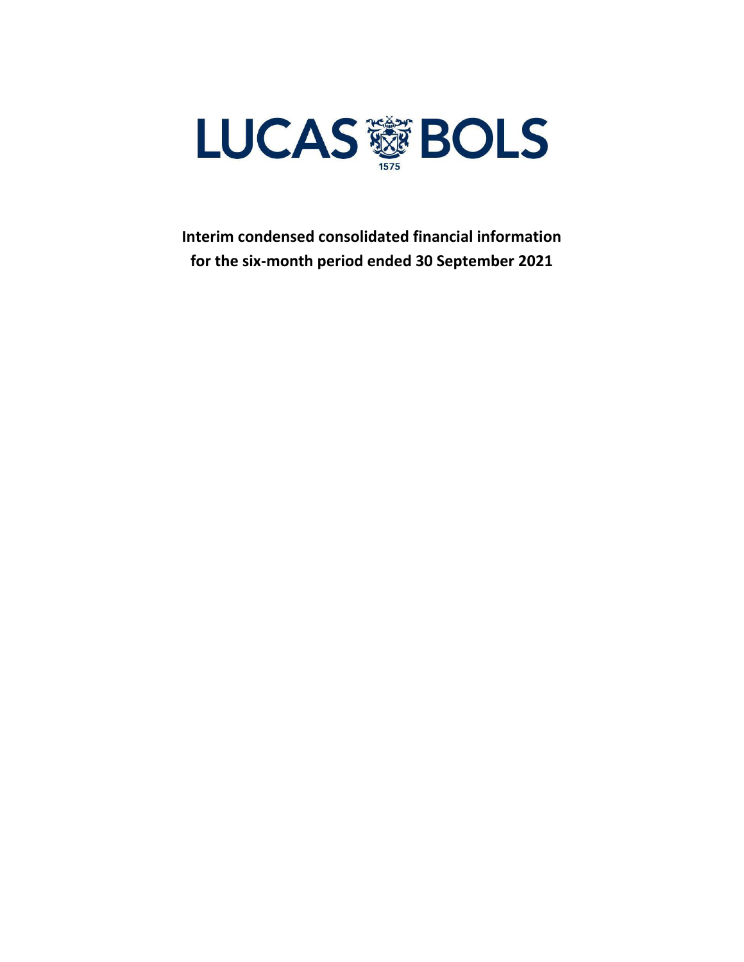

**Interim condensed consolidated financial information for the six-month period ended 30 September 2021**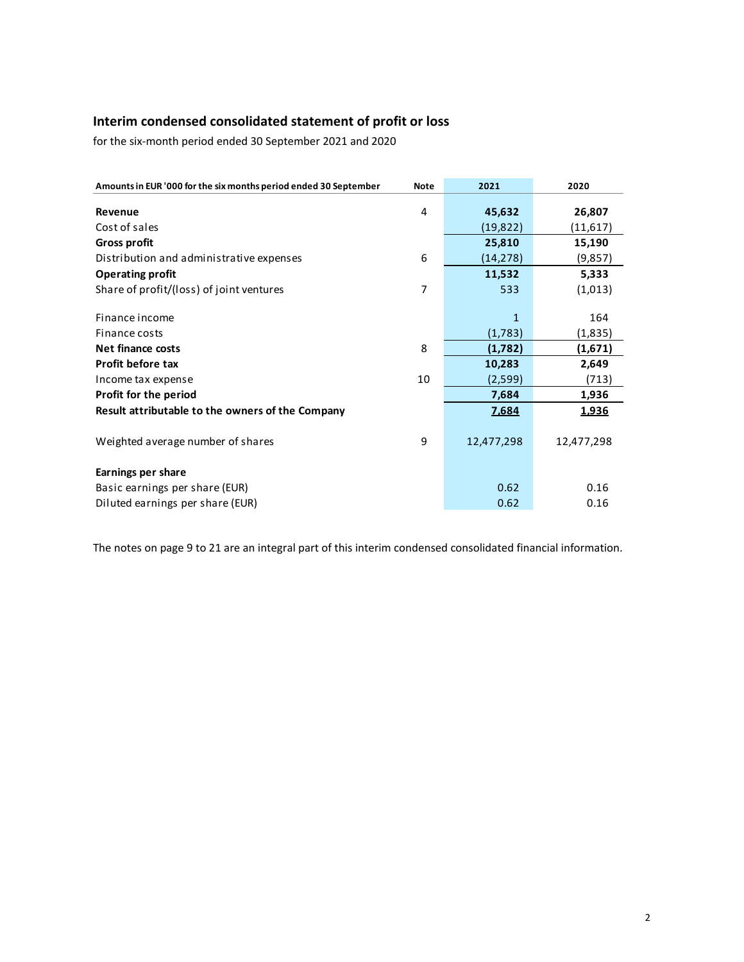# **Interim condensed consolidated statement of profit or loss**

for the six-month period ended 30 September 2021 and 2020

| Amounts in EUR '000 for the six months period ended 30 September | <b>Note</b> | 2021       | 2020       |
|------------------------------------------------------------------|-------------|------------|------------|
| Revenue                                                          | 4           | 45,632     | 26,807     |
| Cost of sales                                                    |             | (19,822)   | (11,617)   |
| <b>Gross profit</b>                                              |             | 25,810     | 15,190     |
| Distribution and administrative expenses                         | 6           | (14, 278)  | (9, 857)   |
| <b>Operating profit</b>                                          |             | 11,532     | 5,333      |
| Share of profit/(loss) of joint ventures                         | 7           | 533        | (1,013)    |
|                                                                  |             |            |            |
| Finance income                                                   |             | 1          | 164        |
| Finance costs                                                    |             | (1,783)    | (1,835)    |
| <b>Net finance costs</b>                                         | 8           | (1,782)    | (1,671)    |
| <b>Profit before tax</b>                                         |             | 10,283     | 2,649      |
| Income tax expense                                               | 10          | (2,599)    | (713)      |
| Profit for the period                                            |             | 7,684      | 1,936      |
| Result attributable to the owners of the Company                 |             | 7,684      | 1,936      |
|                                                                  |             |            |            |
| Weighted average number of shares                                | 9           | 12,477,298 | 12,477,298 |
|                                                                  |             |            |            |
| Earnings per share                                               |             |            |            |
| Basic earnings per share (EUR)                                   |             | 0.62       | 0.16       |
| Diluted earnings per share (EUR)                                 |             | 0.62       | 0.16       |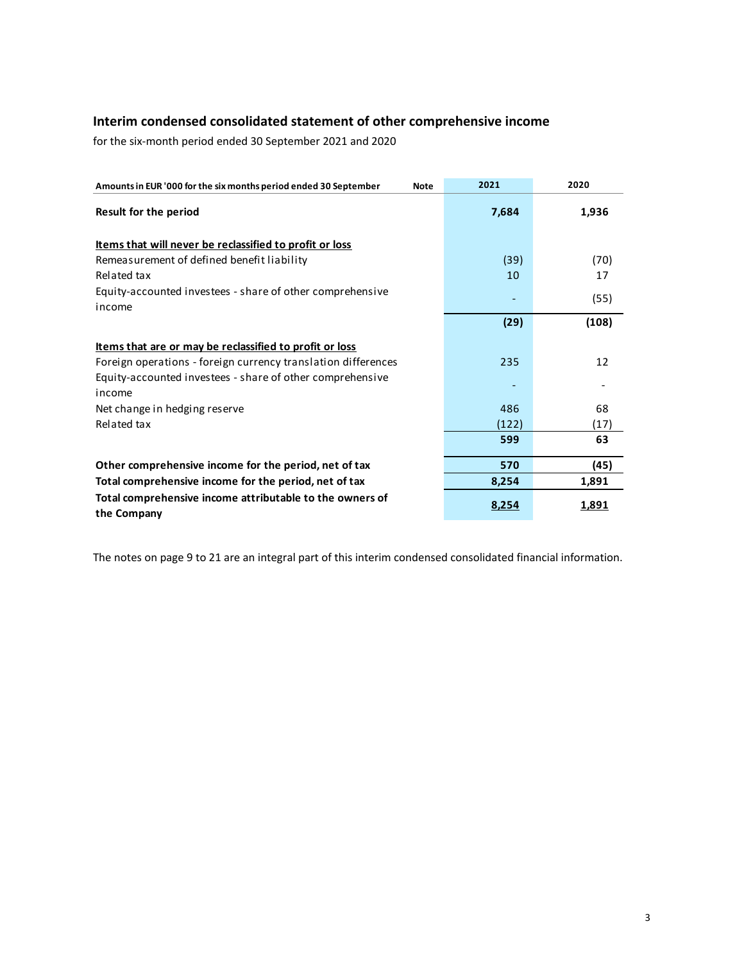# **Interim condensed consolidated statement of other comprehensive income**

for the six-month period ended 30 September 2021 and 2020

| Amounts in EUR '000 for the six months period ended 30 September<br><b>Note</b> | 2021  | 2020  |
|---------------------------------------------------------------------------------|-------|-------|
| <b>Result for the period</b>                                                    | 7,684 | 1,936 |
| Items that will never be reclassified to profit or loss                         |       |       |
| Remeasurement of defined benefit liability                                      | (39)  | (70)  |
| Related tax                                                                     | 10    | 17    |
| Equity-accounted investees - share of other comprehensive                       |       | (55)  |
| income                                                                          |       |       |
|                                                                                 | (29)  | (108) |
| <u>Items that are or may be reclassified to profit or loss</u>                  |       |       |
| Foreign operations - foreign currency translation differences                   | 235   | 12    |
| Equity-accounted investees - share of other comprehensive                       |       |       |
| income                                                                          |       |       |
| Net change in hedging reserve                                                   | 486   | 68    |
| Related tax                                                                     | (122) | (17)  |
|                                                                                 | 599   | 63    |
| Other comprehensive income for the period, net of tax                           | 570   | (45)  |
| Total comprehensive income for the period, net of tax                           | 8,254 | 1,891 |
| Total comprehensive income attributable to the owners of<br>the Company         | 8,254 | 1,891 |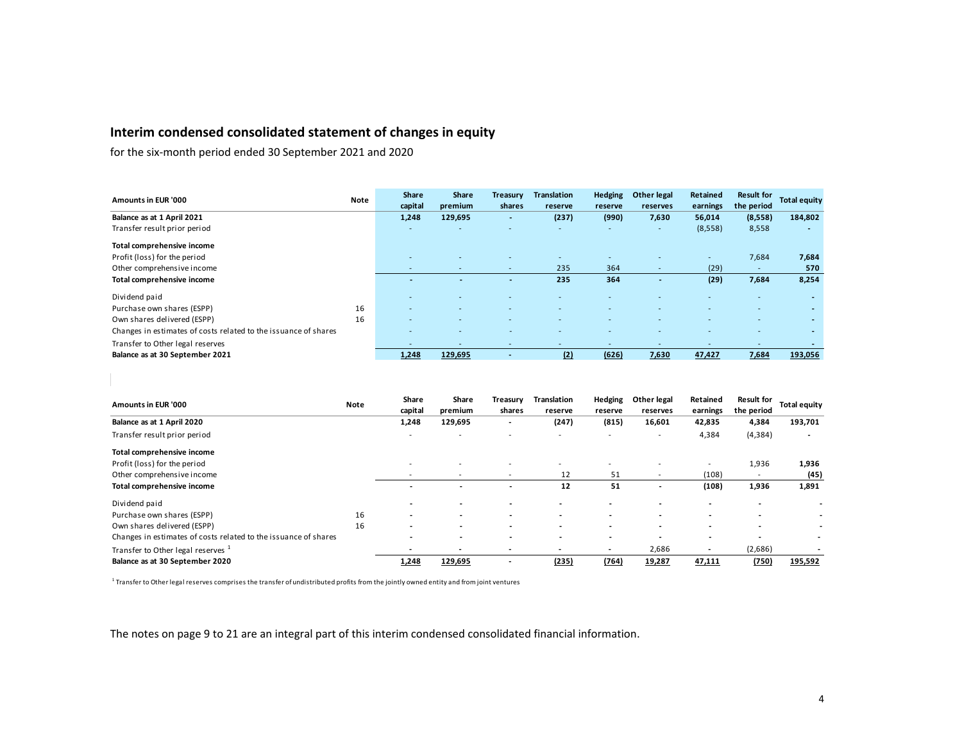# **Interim condensed consolidated statement of changes in equity**

for the six-month period ended 30 September 2021 and 2020

| Amounts in EUR '000                                             | <b>Note</b> | <b>Share</b><br>capital  | <b>Share</b><br>premium | Treasury<br>shares       | <b>Translation</b><br>reserve | <b>Hedging</b><br>reserve | <b>Other legal</b><br>reserves | <b>Retained</b><br>earnings | <b>Result for</b><br>the period | <b>Total equity</b> |
|-----------------------------------------------------------------|-------------|--------------------------|-------------------------|--------------------------|-------------------------------|---------------------------|--------------------------------|-----------------------------|---------------------------------|---------------------|
| Balance as at 1 April 2021                                      |             | 1,248                    | 129,695                 | $\overline{\phantom{0}}$ | (237)                         | (990)                     | 7,630                          | 56,014                      | (8,558)                         | 184,802             |
| Transfer result prior period                                    |             | $\overline{\phantom{0}}$ | <b>.</b>                |                          |                               | ٠                         | $\sim$                         | (8,558)                     | 8,558                           |                     |
| Total comprehensive income                                      |             |                          |                         |                          |                               |                           |                                |                             |                                 |                     |
| Profit (loss) for the period                                    |             | $\overline{\phantom{0}}$ |                         |                          |                               | -                         |                                |                             | 7,684                           | 7,684               |
| Other comprehensive income                                      |             | $\overline{\phantom{0}}$ | $\sim$                  | $\overline{\phantom{a}}$ | 235                           | 364                       | $\overline{\phantom{0}}$       | (29)                        |                                 | 570                 |
| Total comprehensive income                                      |             |                          |                         |                          | 235                           | 364                       |                                | (29)                        | 7,684                           | 8,254               |
| Dividend paid                                                   |             | $\overline{\phantom{0}}$ |                         |                          |                               |                           |                                |                             |                                 |                     |
| Purchase own shares (ESPP)                                      | 16          | $\overline{a}$           |                         |                          |                               |                           |                                |                             |                                 | $\overline{a}$      |
| Own shares delivered (ESPP)                                     | 16          | $\overline{\phantom{0}}$ |                         |                          |                               | -                         | $\overline{\phantom{0}}$       |                             |                                 | $\overline{a}$      |
| Changes in estimates of costs related to the issuance of shares |             |                          |                         |                          |                               |                           |                                |                             |                                 |                     |
| Transfer to Other legal reserves                                |             | $\overline{\phantom{a}}$ | <b>.</b>                |                          |                               |                           | $\overline{\phantom{0}}$       |                             |                                 |                     |
| Balance as at 30 September 2021                                 |             | 1,248                    | 129,695                 |                          | (2)                           | (626)                     | 7,630                          | 47,427                      | 7,684                           | 193,056             |

| Amounts in EUR '000                                             | <b>Note</b> | Share<br>capital         | Share<br>premium         | Treasury<br>shares       | Translation<br>reserve   | <b>Hedging</b><br>reserve | Other legal<br>reserves  | Retained<br>earnings     | <b>Result for</b><br>the period | Total equity |
|-----------------------------------------------------------------|-------------|--------------------------|--------------------------|--------------------------|--------------------------|---------------------------|--------------------------|--------------------------|---------------------------------|--------------|
| Balance as at 1 April 2020                                      |             | 1,248                    | 129,695                  |                          | (247)                    | (815)                     | 16,601                   | 42,835                   | 4,384                           | 193,701      |
| Transfer result prior period                                    |             | -                        | $\overline{\phantom{a}}$ |                          | $\overline{\phantom{a}}$ | ۰                         | $\overline{\phantom{a}}$ | 4,384                    | (4, 384)                        |              |
| Total comprehensive income                                      |             |                          |                          |                          |                          |                           |                          |                          |                                 |              |
| Profit (loss) for the period                                    |             | $\overline{\phantom{a}}$ | <b>.</b>                 |                          |                          |                           | $\overline{\phantom{a}}$ |                          | 1,936                           | 1,936        |
| Other comprehensive income                                      |             |                          | $\overline{\phantom{a}}$ |                          | 12                       | 51                        | $\overline{\phantom{a}}$ | (108)                    |                                 | (45)         |
| Total comprehensive income                                      |             |                          |                          |                          | 12                       | 51                        |                          | (108)                    | 1,936                           | 1,891        |
| Dividend paid                                                   |             | $\overline{\phantom{0}}$ |                          |                          |                          | $\overline{\phantom{0}}$  |                          | $\overline{\phantom{a}}$ |                                 |              |
| Purchase own shares (ESPP)                                      | 16          | $\overline{\phantom{0}}$ | $\overline{\phantom{a}}$ | $\overline{\phantom{0}}$ |                          | $\overline{\phantom{a}}$  |                          | <b>.</b>                 |                                 |              |
| Own shares delivered (ESPP)                                     | 16          | $\overline{\phantom{0}}$ | $\overline{\phantom{0}}$ |                          |                          | $\overline{\phantom{0}}$  |                          | $\overline{\phantom{a}}$ |                                 |              |
| Changes in estimates of costs related to the issuance of shares |             | $\overline{\phantom{0}}$ |                          |                          |                          |                           |                          | $\overline{\phantom{a}}$ |                                 |              |
| Transfer to Other legal reserves <sup>1</sup>                   |             |                          | $\overline{\phantom{a}}$ |                          | $\overline{\phantom{a}}$ | $\overline{\phantom{a}}$  | 2,686                    |                          | (2,686)                         |              |
| Balance as at 30 September 2020                                 |             | 1,248                    | 129,695                  |                          | (235)                    | (764)                     | 19,287                   | 47,111                   | (750)                           | 195,592      |

 $^{\rm 1}$  Transfer to Other legal reserves comprises the transfer of undistributed profits from the jointly owned entity and from joint ventures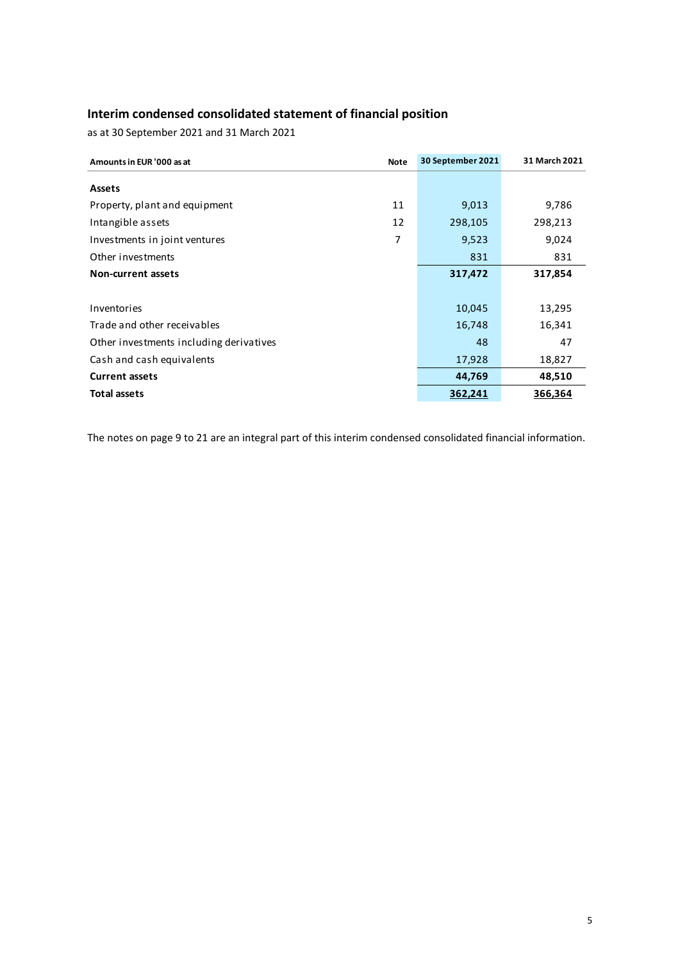# **Interim condensed consolidated statement of financial position**

as at 30 September 2021 and 31 March 2021

| Amounts in EUR '000 as at               | <b>Note</b> | 30 September 2021 | 31 March 2021 |
|-----------------------------------------|-------------|-------------------|---------------|
| <b>Assets</b>                           |             |                   |               |
| Property, plant and equipment           | 11          | 9,013             | 9,786         |
| Intangible assets                       | 12          | 298,105           | 298,213       |
| Investments in joint ventures           | 7           | 9,523             | 9,024         |
| Other investments                       |             | 831               | 831           |
| <b>Non-current assets</b>               |             | 317,472           | 317,854       |
|                                         |             |                   |               |
| Inventories                             |             | 10,045            | 13,295        |
| Trade and other receivables             |             | 16,748            | 16,341        |
| Other investments including derivatives |             | 48                | 47            |
| Cash and cash equivalents               |             | 17,928            | 18,827        |
| <b>Current assets</b>                   |             | 44,769            | 48,510        |
| <b>Total assets</b>                     |             | 362,241           | 366,364       |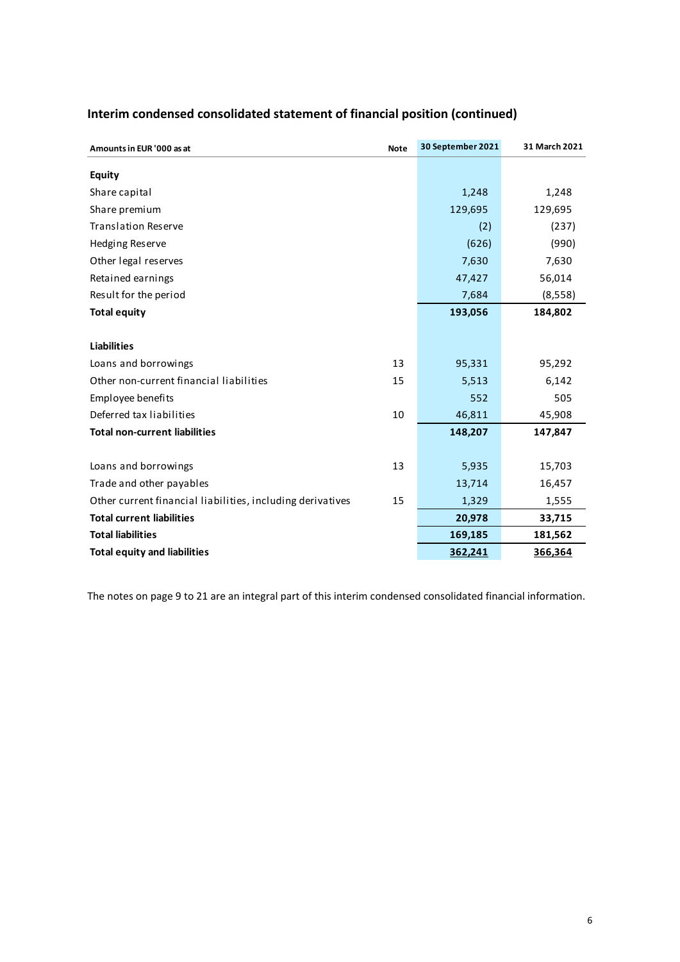| Amounts in EUR '000 as at                                  | <b>Note</b> | 30 September 2021 | 31 March 2021 |
|------------------------------------------------------------|-------------|-------------------|---------------|
| <b>Equity</b>                                              |             |                   |               |
| Share capital                                              |             | 1,248             | 1,248         |
| Share premium                                              |             | 129,695           | 129,695       |
| <b>Translation Reserve</b>                                 |             | (2)               | (237)         |
| Hedging Reserve                                            |             | (626)             | (990)         |
| Other legal reserves                                       |             | 7,630             | 7,630         |
| Retained earnings                                          |             | 47,427            | 56,014        |
| Result for the period                                      |             | 7,684             | (8,558)       |
| <b>Total equity</b>                                        |             | 193,056           | 184,802       |
|                                                            |             |                   |               |
| <b>Liabilities</b>                                         |             |                   |               |
| Loans and borrowings                                       | 13          | 95,331            | 95,292        |
| Other non-current financial liabilities                    | 15          | 5,513             | 6,142         |
| Employee benefits                                          |             | 552               | 505           |
| Deferred tax liabilities                                   | 10          | 46,811            | 45,908        |
| <b>Total non-current liabilities</b>                       |             | 148,207           | 147,847       |
|                                                            |             |                   |               |
| Loans and borrowings                                       | 13          | 5,935             | 15,703        |
| Trade and other payables                                   |             | 13,714            | 16,457        |
| Other current financial liabilities, including derivatives | 15          | 1,329             | 1,555         |
| <b>Total current liabilities</b>                           |             | 20,978            | 33,715        |
| <b>Total liabilities</b>                                   |             | 169,185           | 181,562       |
| <b>Total equity and liabilities</b>                        |             | 362,241           | 366,364       |

# **Interim condensed consolidated statement of financial position (continued)**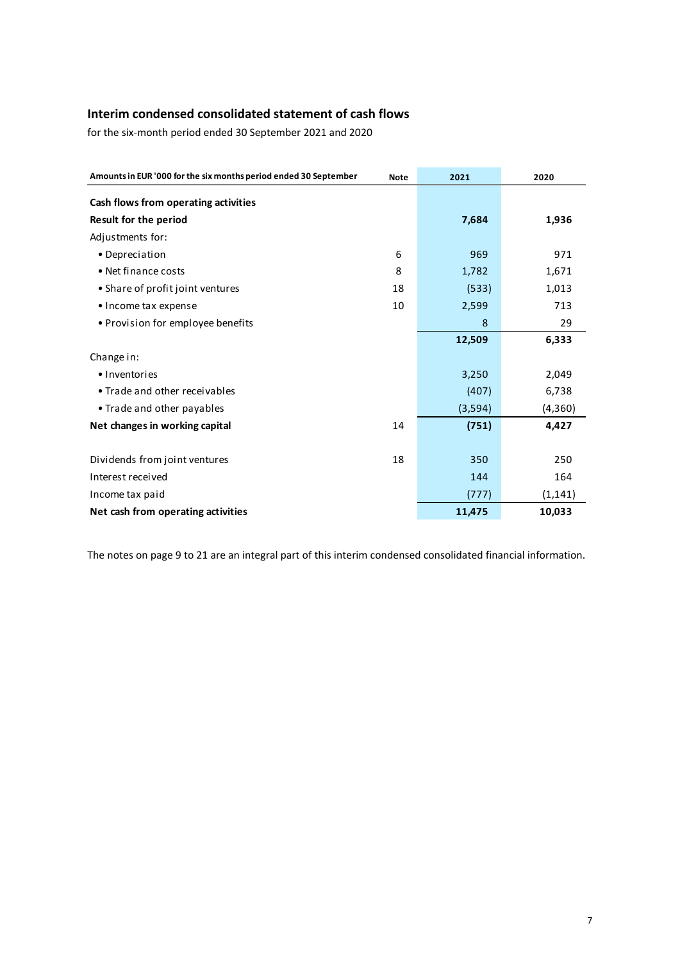# **Interim condensed consolidated statement of cash flows**

for the six-month period ended 30 September 2021 and 2020

| Amounts in EUR '000 for the six months period ended 30 September | 2021 | 2020     |          |
|------------------------------------------------------------------|------|----------|----------|
| Cash flows from operating activities                             |      |          |          |
| <b>Result for the period</b>                                     |      | 7,684    | 1,936    |
| Adjustments for:                                                 |      |          |          |
| • Depreciation                                                   | 6    | 969      | 971      |
| • Net finance costs                                              | 8    | 1,782    | 1,671    |
| • Share of profit joint ventures                                 | 18   | (533)    | 1,013    |
| • Income tax expense                                             | 10   | 2,599    | 713      |
| • Provision for employee benefits                                |      | 8        | 29       |
|                                                                  |      | 12,509   | 6,333    |
| Change in:                                                       |      |          |          |
| • Inventories                                                    |      | 3,250    | 2,049    |
| • Trade and other receivables                                    |      | (407)    | 6,738    |
| • Trade and other payables                                       |      | (3, 594) | (4, 360) |
| Net changes in working capital                                   | 14   | (751)    | 4,427    |
|                                                                  |      |          |          |
| Dividends from joint ventures                                    | 18   | 350      | 250      |
| Interest received                                                |      | 144      | 164      |
| Income tax paid                                                  |      | (777)    | (1, 141) |
| Net cash from operating activities                               |      | 11,475   | 10,033   |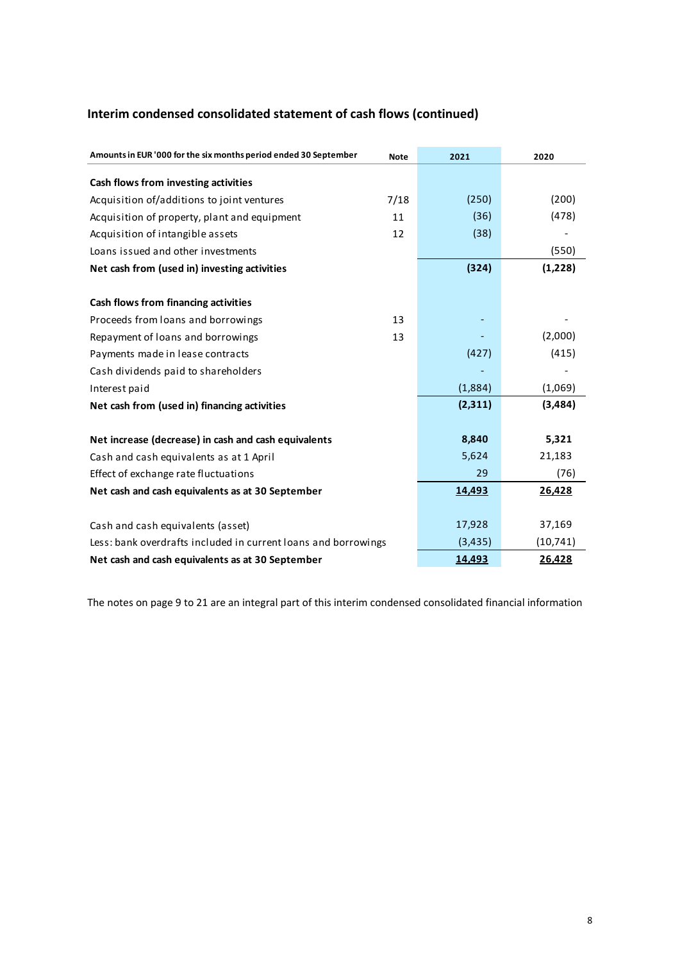# **Interim condensed consolidated statement of cash flows (continued)**

| Amounts in EUR '000 for the six months period ended 30 September | <b>Note</b> | 2021     | 2020      |
|------------------------------------------------------------------|-------------|----------|-----------|
| Cash flows from investing activities                             |             |          |           |
| Acquisition of/additions to joint ventures                       | 7/18        | (250)    | (200)     |
| Acquisition of property, plant and equipment                     | 11          | (36)     | (478)     |
| Acquisition of intangible assets                                 | 12          | (38)     |           |
| Loans issued and other investments                               |             |          | (550)     |
| Net cash from (used in) investing activities                     |             | (324)    | (1,228)   |
|                                                                  |             |          |           |
| Cash flows from financing activities                             |             |          |           |
| Proceeds from loans and borrowings                               | 13          |          |           |
| Repayment of loans and borrowings                                | 13          |          | (2,000)   |
| Payments made in lease contracts                                 |             | (427)    | (415)     |
| Cash dividends paid to shareholders                              |             |          |           |
| Interest paid                                                    |             | (1,884)  | (1,069)   |
| Net cash from (used in) financing activities                     |             | (2,311)  | (3,484)   |
|                                                                  |             |          |           |
| Net increase (decrease) in cash and cash equivalents             |             | 8,840    | 5,321     |
| Cash and cash equivalents as at 1 April                          |             | 5,624    | 21,183    |
| Effect of exchange rate fluctuations                             |             | 29       | (76)      |
| Net cash and cash equivalents as at 30 September                 |             | 14,493   | 26,428    |
|                                                                  |             |          |           |
| Cash and cash equivalents (asset)                                |             | 17,928   | 37,169    |
| Less: bank overdrafts included in current loans and borrowings   |             | (3, 435) | (10, 741) |
| Net cash and cash equivalents as at 30 September                 |             | 14,493   | 26,428    |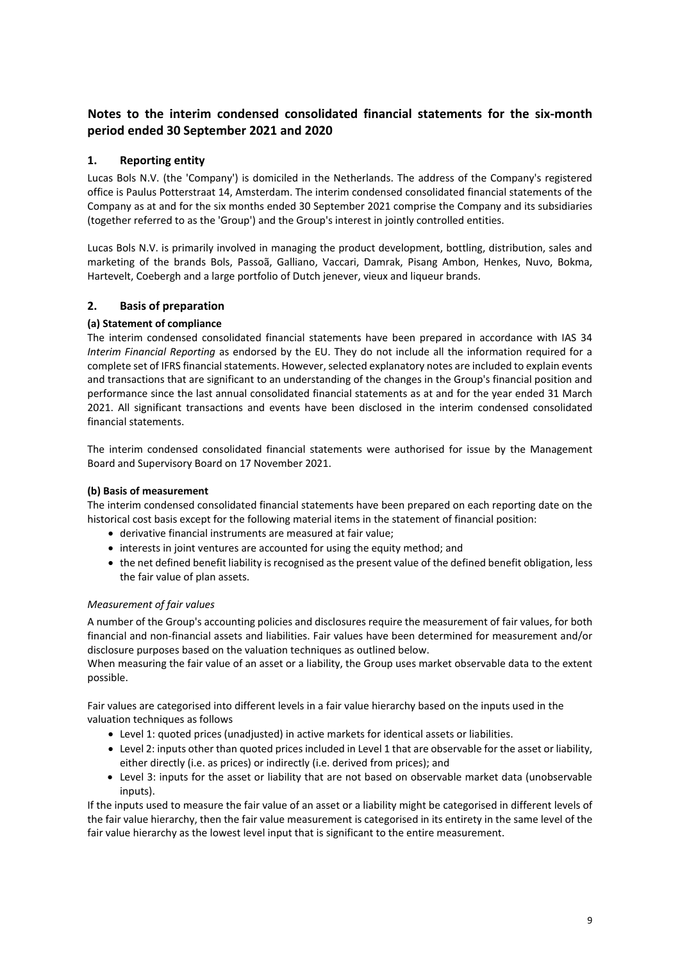# **Notes to the interim condensed consolidated financial statements for the six-month period ended 30 September 2021 and 2020**

# **1. Reporting entity**

Lucas Bols N.V. (the 'Company') is domiciled in the Netherlands. The address of the Company's registered office is Paulus Potterstraat 14, Amsterdam. The interim condensed consolidated financial statements of the Company as at and for the six months ended 30 September 2021 comprise the Company and its subsidiaries (together referred to as the 'Group') and the Group's interest in jointly controlled entities.

Lucas Bols N.V. is primarily involved in managing the product development, bottling, distribution, sales and marketing of the brands Bols, Passoã, Galliano, Vaccari, Damrak, Pisang Ambon, Henkes, Nuvo, Bokma, Hartevelt, Coebergh and a large portfolio of Dutch jenever, vieux and liqueur brands.

# **2. Basis of preparation**

# **(a) Statement of compliance**

The interim condensed consolidated financial statements have been prepared in accordance with IAS 34 *Interim Financial Reporting* as endorsed by the EU. They do not include all the information required for a complete set of IFRS financial statements. However, selected explanatory notes are included to explain events and transactions that are significant to an understanding of the changes in the Group's financial position and performance since the last annual consolidated financial statements as at and for the year ended 31 March 2021. All significant transactions and events have been disclosed in the interim condensed consolidated financial statements.

The interim condensed consolidated financial statements were authorised for issue by the Management Board and Supervisory Board on 17 November 2021.

# **(b) Basis of measurement**

The interim condensed consolidated financial statements have been prepared on each reporting date on the historical cost basis except for the following material items in the statement of financial position:

- derivative financial instruments are measured at fair value;
- interests in joint ventures are accounted for using the equity method; and
- the net defined benefit liability is recognised as the present value of the defined benefit obligation, less the fair value of plan assets.

# *Measurement of fair values*

A number of the Group's accounting policies and disclosures require the measurement of fair values, for both financial and non-financial assets and liabilities. Fair values have been determined for measurement and/or disclosure purposes based on the valuation techniques as outlined below.

When measuring the fair value of an asset or a liability, the Group uses market observable data to the extent possible.

Fair values are categorised into different levels in a fair value hierarchy based on the inputs used in the valuation techniques as follows

- Level 1: quoted prices (unadjusted) in active markets for identical assets or liabilities.
- Level 2: inputs other than quoted prices included in Level 1 that are observable for the asset or liability, either directly (i.e. as prices) or indirectly (i.e. derived from prices); and
- Level 3: inputs for the asset or liability that are not based on observable market data (unobservable inputs).

If the inputs used to measure the fair value of an asset or a liability might be categorised in different levels of the fair value hierarchy, then the fair value measurement is categorised in its entirety in the same level of the fair value hierarchy as the lowest level input that is significant to the entire measurement.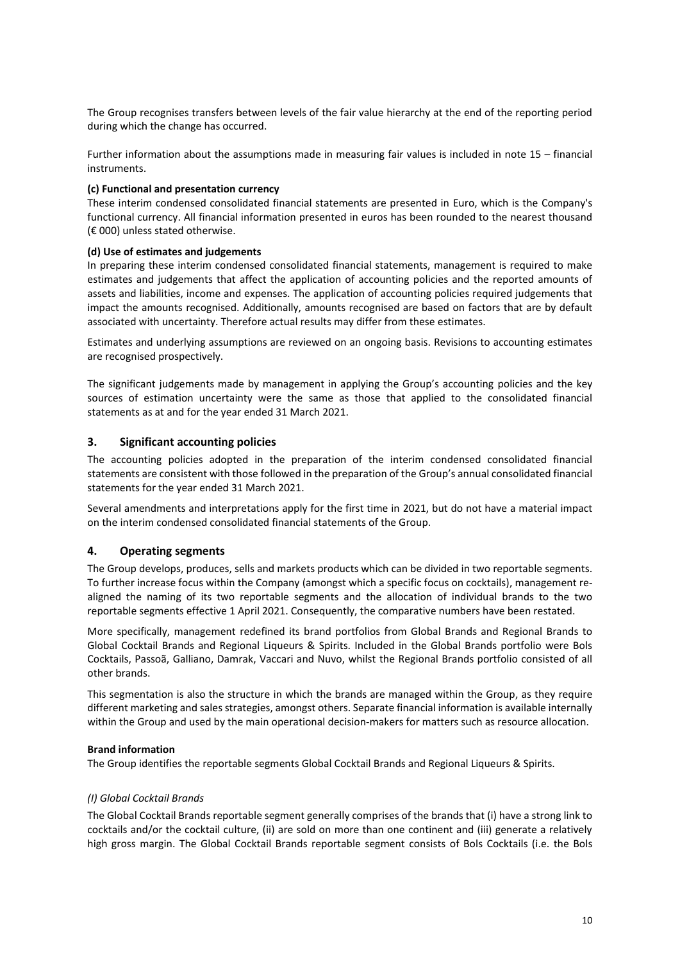The Group recognises transfers between levels of the fair value hierarchy at the end of the reporting period during which the change has occurred.

Further information about the assumptions made in measuring fair values is included in note 15 – financial instruments.

### **(c) Functional and presentation currency**

These interim condensed consolidated financial statements are presented in Euro, which is the Company's functional currency. All financial information presented in euros has been rounded to the nearest thousand (€ 000) unless stated otherwise.

### **(d) Use of estimates and judgements**

In preparing these interim condensed consolidated financial statements, management is required to make estimates and judgements that affect the application of accounting policies and the reported amounts of assets and liabilities, income and expenses. The application of accounting policies required judgements that impact the amounts recognised. Additionally, amounts recognised are based on factors that are by default associated with uncertainty. Therefore actual results may differ from these estimates.

Estimates and underlying assumptions are reviewed on an ongoing basis. Revisions to accounting estimates are recognised prospectively.

The significant judgements made by management in applying the Group's accounting policies and the key sources of estimation uncertainty were the same as those that applied to the consolidated financial statements as at and for the year ended 31 March 2021.

### **3. Significant accounting policies**

The accounting policies adopted in the preparation of the interim condensed consolidated financial statements are consistent with those followed in the preparation of the Group's annual consolidated financial statements for the year ended 31 March 2021.

Several amendments and interpretations apply for the first time in 2021, but do not have a material impact on the interim condensed consolidated financial statements of the Group.

### **4. Operating segments**

The Group develops, produces, sells and markets products which can be divided in two reportable segments. To further increase focus within the Company (amongst which a specific focus on cocktails), management realigned the naming of its two reportable segments and the allocation of individual brands to the two reportable segments effective 1 April 2021. Consequently, the comparative numbers have been restated.

More specifically, management redefined its brand portfolios from Global Brands and Regional Brands to Global Cocktail Brands and Regional Liqueurs & Spirits. Included in the Global Brands portfolio were Bols Cocktails, Passoã, Galliano, Damrak, Vaccari and Nuvo, whilst the Regional Brands portfolio consisted of all other brands.

This segmentation is also the structure in which the brands are managed within the Group, as they require different marketing and sales strategies, amongst others. Separate financial information is available internally within the Group and used by the main operational decision-makers for matters such as resource allocation.

#### **Brand information**

The Group identifies the reportable segments Global Cocktail Brands and Regional Liqueurs & Spirits.

### *(I) Global Cocktail Brands*

The Global Cocktail Brands reportable segment generally comprises of the brands that (i) have a strong link to cocktails and/or the cocktail culture, (ii) are sold on more than one continent and (iii) generate a relatively high gross margin. The Global Cocktail Brands reportable segment consists of Bols Cocktails (i.e. the Bols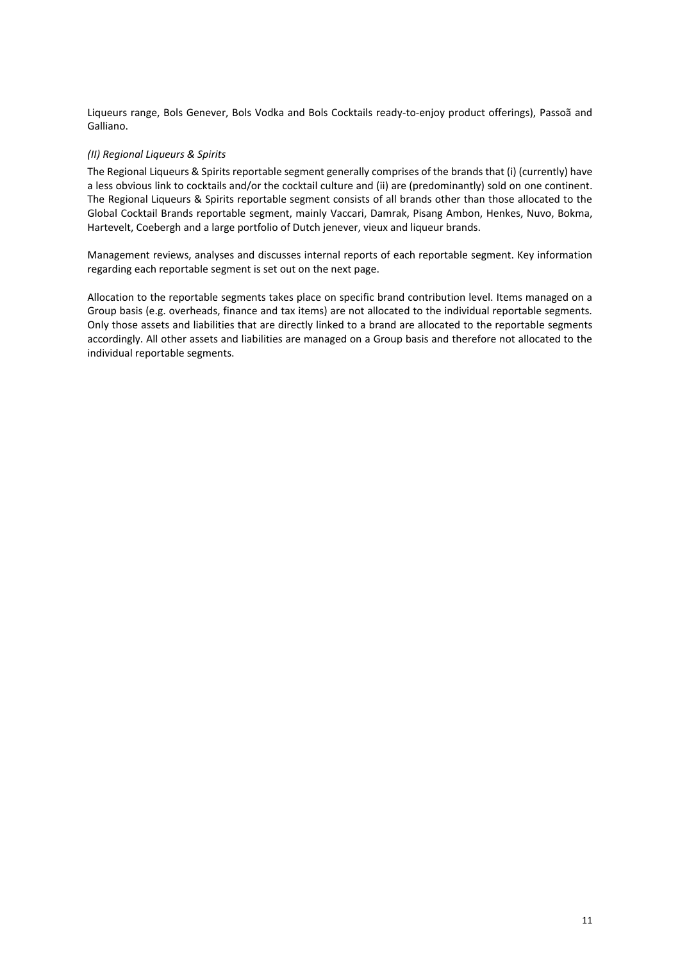Liqueurs range, Bols Genever, Bols Vodka and Bols Cocktails ready-to-enjoy product offerings), Passoã and Galliano.

### *(II) Regional Liqueurs & Spirits*

The Regional Liqueurs & Spirits reportable segment generally comprises of the brands that (i) (currently) have a less obvious link to cocktails and/or the cocktail culture and (ii) are (predominantly) sold on one continent. The Regional Liqueurs & Spirits reportable segment consists of all brands other than those allocated to the Global Cocktail Brands reportable segment, mainly Vaccari, Damrak, Pisang Ambon, Henkes, Nuvo, Bokma, Hartevelt, Coebergh and a large portfolio of Dutch jenever, vieux and liqueur brands.

Management reviews, analyses and discusses internal reports of each reportable segment. Key information regarding each reportable segment is set out on the next page.

Allocation to the reportable segments takes place on specific brand contribution level. Items managed on a Group basis (e.g. overheads, finance and tax items) are not allocated to the individual reportable segments. Only those assets and liabilities that are directly linked to a brand are allocated to the reportable segments accordingly. All other assets and liabilities are managed on a Group basis and therefore not allocated to the individual reportable segments.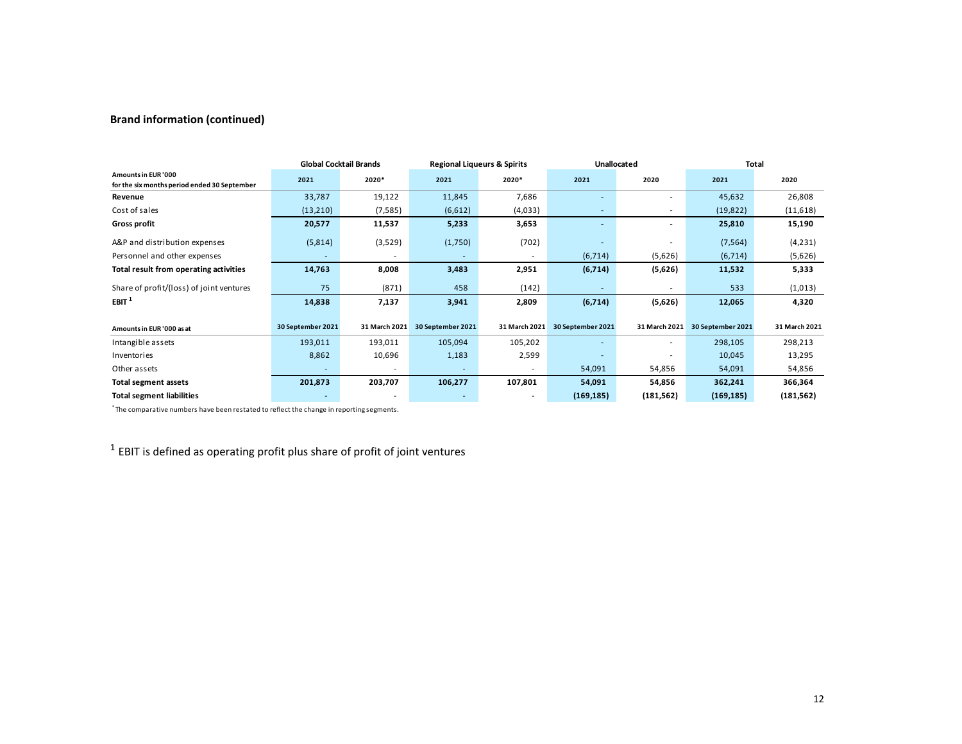# **Brand information (continued)**

|                                                                     |                   | <b>Global Cocktail Brands</b> | <b>Regional Liqueurs &amp; Spirits</b> |                          | <b>Unallocated</b>       |               | Total             |               |  |
|---------------------------------------------------------------------|-------------------|-------------------------------|----------------------------------------|--------------------------|--------------------------|---------------|-------------------|---------------|--|
| Amounts in EUR '000<br>for the six months period ended 30 September | 2021              | 2020*                         | 2021                                   | 2020*                    | 2021                     | 2020          | 2021              | 2020          |  |
| Revenue                                                             | 33,787            | 19,122                        | 11,845                                 | 7,686                    | ٠                        |               | 45,632            | 26,808        |  |
| Cost of sales                                                       | (13,210)          | (7, 585)                      | (6,612)                                | (4,033)                  | ٠                        |               | (19, 822)         | (11,618)      |  |
| <b>Gross profit</b>                                                 | 20,577            | 11,537                        | 5,233                                  | 3,653                    | $\overline{\phantom{0}}$ |               | 25,810            | 15,190        |  |
| A&P and distribution expenses                                       | (5,814)           | (3,529)                       | (1,750)                                | (702)                    |                          |               | (7, 564)          | (4, 231)      |  |
| Personnel and other expenses                                        | ٠                 |                               | $\overline{\phantom{a}}$               | $\overline{\phantom{a}}$ | (6, 714)                 | (5,626)       | (6, 714)          | (5,626)       |  |
| Total result from operating activities                              | 14,763            | 8,008                         | 3,483                                  | 2,951                    | (6,714)                  | (5,626)       | 11,532            | 5,333         |  |
| Share of profit/(loss) of joint ventures                            | 75                | (871)                         | 458                                    | (142)                    |                          |               | 533               | (1,013)       |  |
| EBIT <sup>1</sup>                                                   | 14,838            | 7,137                         | 3,941                                  | 2,809                    | (6,714)                  | (5,626)       | 12,065            | 4,320         |  |
| Amounts in EUR '000 as at                                           | 30 September 2021 | 31 March 2021                 | 30 September 2021                      | 31 March 2021            | 30 September 2021        | 31 March 2021 | 30 September 2021 | 31 March 2021 |  |
| Intangible assets                                                   | 193,011           | 193,011                       | 105,094                                | 105,202                  | ٠                        |               | 298,105           | 298,213       |  |
| Inventories                                                         | 8,862             | 10,696                        | 1,183                                  | 2,599                    |                          |               | 10,045            | 13,295        |  |
| Other assets                                                        |                   |                               |                                        | ٠                        | 54,091                   | 54,856        | 54,091            | 54,856        |  |
| Total segment assets                                                | 201,873           | 203,707                       | 106,277                                | 107,801                  | 54,091                   | 54,856        | 362,241           | 366,364       |  |
| <b>Total segment liabilities</b>                                    |                   |                               |                                        | ٠                        | (169, 185)               | (181, 562)    | (169, 185)        | (181, 562)    |  |

\* The comparative numbers have been restated to reflect the change in reporting segments.

 $<sup>1</sup>$  EBIT is defined as operating profit plus share of profit of joint ventures</sup>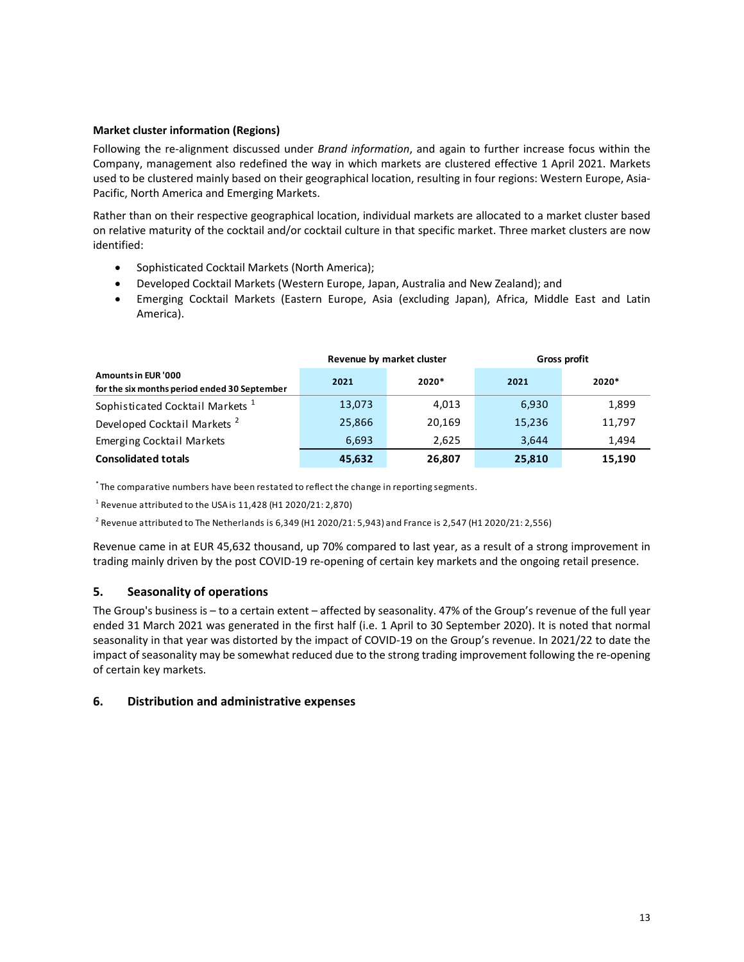### **Market cluster information (Regions)**

Following the re-alignment discussed under *Brand information*, and again to further increase focus within the Company, management also redefined the way in which markets are clustered effective 1 April 2021. Markets used to be clustered mainly based on their geographical location, resulting in four regions: Western Europe, Asia-Pacific, North America and Emerging Markets.

Rather than on their respective geographical location, individual markets are allocated to a market cluster based on relative maturity of the cocktail and/or cocktail culture in that specific market. Three market clusters are now identified:

- Sophisticated Cocktail Markets (North America);
- Developed Cocktail Markets (Western Europe, Japan, Australia and New Zealand); and
- Emerging Cocktail Markets (Eastern Europe, Asia (excluding Japan), Africa, Middle East and Latin America).

|                                                                            |        | Revenue by market cluster | Gross profit |         |  |  |
|----------------------------------------------------------------------------|--------|---------------------------|--------------|---------|--|--|
| <b>Amounts in EUR '000</b><br>for the six months period ended 30 September | 2021   | $2020*$                   | 2021         | $2020*$ |  |  |
| Sophisticated Cocktail Markets <sup>1</sup>                                | 13,073 | 4,013                     | 6,930        | 1,899   |  |  |
| Developed Cocktail Markets <sup>2</sup>                                    | 25,866 | 20,169                    | 15,236       | 11,797  |  |  |
| <b>Emerging Cocktail Markets</b>                                           | 6,693  | 2.625                     | 3.644        | 1,494   |  |  |
| <b>Consolidated totals</b>                                                 | 45,632 | 26.807                    | 25,810       | 15,190  |  |  |

\* The comparative numbers have been restated to reflect the change in reporting segments.

 $^1$  Revenue attributed to the USA is 11,428 (H1 2020/21: 2,870)

 $^2$  Revenue attributed to The Netherlands is 6,349 (H1 2020/21: 5,943) and France is 2,547 (H1 2020/21: 2,556)

Revenue came in at EUR 45,632 thousand, up 70% compared to last year, as a result of a strong improvement in trading mainly driven by the post COVID-19 re-opening of certain key markets and the ongoing retail presence.

# **5. Seasonality of operations**

The Group's business is – to a certain extent – affected by seasonality. 47% of the Group's revenue of the full year ended 31 March 2021 was generated in the first half (i.e. 1 April to 30 September 2020). It is noted that normal seasonality in that year was distorted by the impact of COVID-19 on the Group's revenue. In 2021/22 to date the impact of seasonality may be somewhat reduced due to the strong trading improvement following the re-opening of certain key markets.

### **6. Distribution and administrative expenses**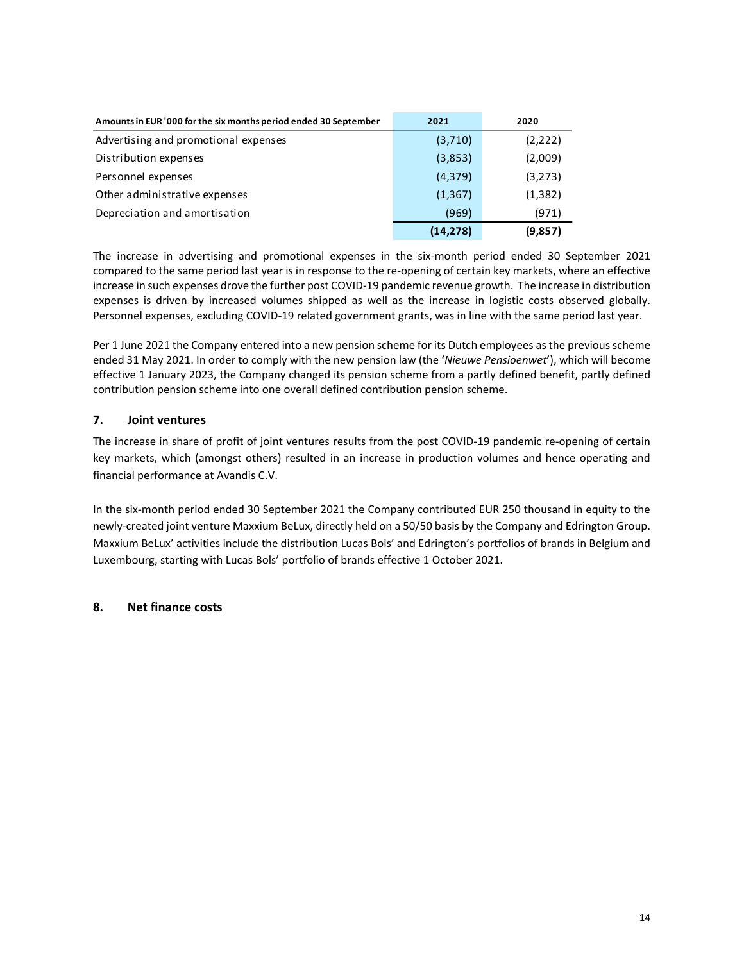| Amounts in EUR '000 for the six months period ended 30 September | 2021      | 2020     |
|------------------------------------------------------------------|-----------|----------|
| Advertising and promotional expenses                             | (3,710)   | (2,222)  |
| Distribution expenses                                            | (3,853)   | (2,009)  |
| Personnel expenses                                               | (4, 379)  | (3, 273) |
| Other administrative expenses                                    | (1, 367)  | (1, 382) |
| Depreciation and amortisation                                    | (969)     | (971)    |
|                                                                  | (14, 278) | (9,857)  |

The increase in advertising and promotional expenses in the six-month period ended 30 September 2021 compared to the same period last year is in response to the re-opening of certain key markets, where an effective increase in such expenses drove the further post COVID-19 pandemic revenue growth. The increase in distribution expenses is driven by increased volumes shipped as well as the increase in logistic costs observed globally. Personnel expenses, excluding COVID-19 related government grants, was in line with the same period last year.

Per 1 June 2021 the Company entered into a new pension scheme for its Dutch employees as the previous scheme ended 31 May 2021. In order to comply with the new pension law (the '*Nieuwe Pensioenwet*'), which will become effective 1 January 2023, the Company changed its pension scheme from a partly defined benefit, partly defined contribution pension scheme into one overall defined contribution pension scheme.

# **7. Joint ventures**

The increase in share of profit of joint ventures results from the post COVID-19 pandemic re-opening of certain key markets, which (amongst others) resulted in an increase in production volumes and hence operating and financial performance at Avandis C.V.

In the six-month period ended 30 September 2021 the Company contributed EUR 250 thousand in equity to the newly-created joint venture Maxxium BeLux, directly held on a 50/50 basis by the Company and Edrington Group. Maxxium BeLux' activities include the distribution Lucas Bols' and Edrington's portfolios of brands in Belgium and Luxembourg, starting with Lucas Bols' portfolio of brands effective 1 October 2021.

# **8. Net finance costs**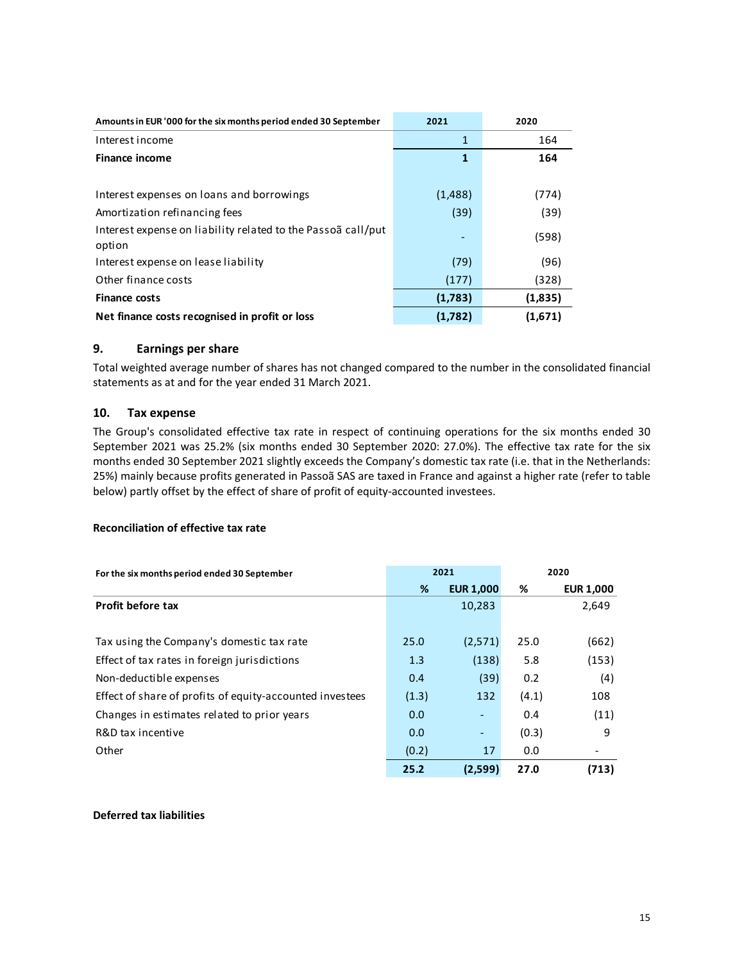| Amounts in EUR '000 for the six months period ended 30 September       | 2021    | 2020    |
|------------------------------------------------------------------------|---------|---------|
| Interest income                                                        | 1       | 164     |
| <b>Finance income</b>                                                  | 1       | 164     |
|                                                                        |         |         |
| Interest expenses on loans and borrowings                              | (1,488) | (774)   |
| Amortization refinancing fees                                          | (39)    | (39)    |
| Interest expense on liability related to the Passoã call/put<br>option |         | (598)   |
| Interest expense on lease liability                                    | (79)    | (96)    |
| Other finance costs                                                    | (177)   | (328)   |
| <b>Finance costs</b>                                                   | (1,783) | (1,835) |
| Net finance costs recognised in profit or loss                         | (1,782) | (1,671) |

# **9. Earnings per share**

Total weighted average number of shares has not changed compared to the number in the consolidated financial statements as at and for the year ended 31 March 2021.

### **10. Tax expense**

The Group's consolidated effective tax rate in respect of continuing operations for the six months ended 30 September 2021 was 25.2% (six months ended 30 September 2020: 27.0%). The effective tax rate for the six months ended 30 September 2021 slightly exceeds the Company's domestic tax rate (i.e. that in the Netherlands: 25%) mainly because profits generated in Passoã SAS are taxed in France and against a higher rate (refer to table below) partly offset by the effect of share of profit of equity-accounted investees.

# **Reconciliation of effective tax rate**

| For the six months period ended 30 September             |       | 2021                     | 2020  |                  |  |
|----------------------------------------------------------|-------|--------------------------|-------|------------------|--|
|                                                          | %     | <b>EUR 1,000</b>         | %     | <b>EUR 1,000</b> |  |
| <b>Profit before tax</b>                                 |       | 10,283                   |       | 2,649            |  |
|                                                          |       |                          |       |                  |  |
| Tax using the Company's domestic tax rate                | 25.0  | (2,571)                  | 25.0  | (662)            |  |
| Effect of tax rates in foreign jurisdictions             | 1.3   | (138)                    | 5.8   | (153)            |  |
| Non-deductible expenses                                  | 0.4   | (39)                     | 0.2   | (4)              |  |
| Effect of share of profits of equity-accounted investees | (1.3) | 132                      | (4.1) | 108              |  |
| Changes in estimates related to prior years              | 0.0   |                          | 0.4   | (11)             |  |
| R&D tax incentive                                        | 0.0   | $\overline{\phantom{a}}$ | (0.3) | 9                |  |
| Other                                                    | (0.2) | 17                       | 0.0   |                  |  |
|                                                          | 25.2  | (2,599)                  | 27.0  | (713)            |  |

### **Deferred tax liabilities**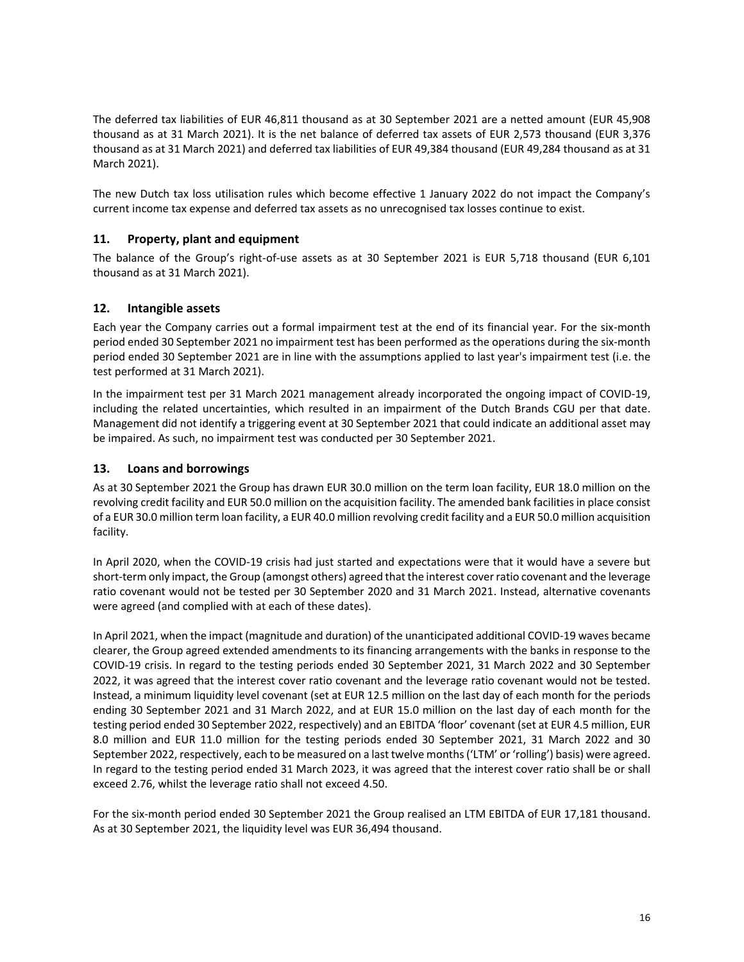The deferred tax liabilities of EUR 46,811 thousand as at 30 September 2021 are a netted amount (EUR 45,908 thousand as at 31 March 2021). It is the net balance of deferred tax assets of EUR 2,573 thousand (EUR 3,376 thousand as at 31 March 2021) and deferred tax liabilities of EUR 49,384 thousand (EUR 49,284 thousand as at 31 March 2021).

The new Dutch tax loss utilisation rules which become effective 1 January 2022 do not impact the Company's current income tax expense and deferred tax assets as no unrecognised tax losses continue to exist.

## **11. Property, plant and equipment**

The balance of the Group's right-of-use assets as at 30 September 2021 is EUR 5,718 thousand (EUR 6,101 thousand as at 31 March 2021).

## **12. Intangible assets**

Each year the Company carries out a formal impairment test at the end of its financial year. For the six-month period ended 30 September 2021 no impairment test has been performed as the operations during the six-month period ended 30 September 2021 are in line with the assumptions applied to last year's impairment test (i.e. the test performed at 31 March 2021).

In the impairment test per 31 March 2021 management already incorporated the ongoing impact of COVID-19, including the related uncertainties, which resulted in an impairment of the Dutch Brands CGU per that date. Management did not identify a triggering event at 30 September 2021 that could indicate an additional asset may be impaired. As such, no impairment test was conducted per 30 September 2021.

## **13. Loans and borrowings**

As at 30 September 2021 the Group has drawn EUR 30.0 million on the term loan facility, EUR 18.0 million on the revolving credit facility and EUR 50.0 million on the acquisition facility. The amended bank facilities in place consist of a EUR 30.0 million term loan facility, a EUR 40.0 million revolving credit facility and a EUR 50.0 million acquisition facility.

In April 2020, when the COVID-19 crisis had just started and expectations were that it would have a severe but short-term only impact, the Group (amongst others) agreed that the interest cover ratio covenant and the leverage ratio covenant would not be tested per 30 September 2020 and 31 March 2021. Instead, alternative covenants were agreed (and complied with at each of these dates).

In April 2021, when the impact (magnitude and duration) of the unanticipated additional COVID-19 waves became clearer, the Group agreed extended amendments to its financing arrangements with the banks in response to the COVID-19 crisis. In regard to the testing periods ended 30 September 2021, 31 March 2022 and 30 September 2022, it was agreed that the interest cover ratio covenant and the leverage ratio covenant would not be tested. Instead, a minimum liquidity level covenant (set at EUR 12.5 million on the last day of each month for the periods ending 30 September 2021 and 31 March 2022, and at EUR 15.0 million on the last day of each month for the testing period ended 30 September 2022, respectively) and an EBITDA 'floor' covenant (set at EUR 4.5 million, EUR 8.0 million and EUR 11.0 million for the testing periods ended 30 September 2021, 31 March 2022 and 30 September 2022, respectively, each to be measured on a last twelve months ('LTM' or 'rolling') basis) were agreed. In regard to the testing period ended 31 March 2023, it was agreed that the interest cover ratio shall be or shall exceed 2.76, whilst the leverage ratio shall not exceed 4.50.

For the six-month period ended 30 September 2021 the Group realised an LTM EBITDA of EUR 17,181 thousand. As at 30 September 2021, the liquidity level was EUR 36,494 thousand.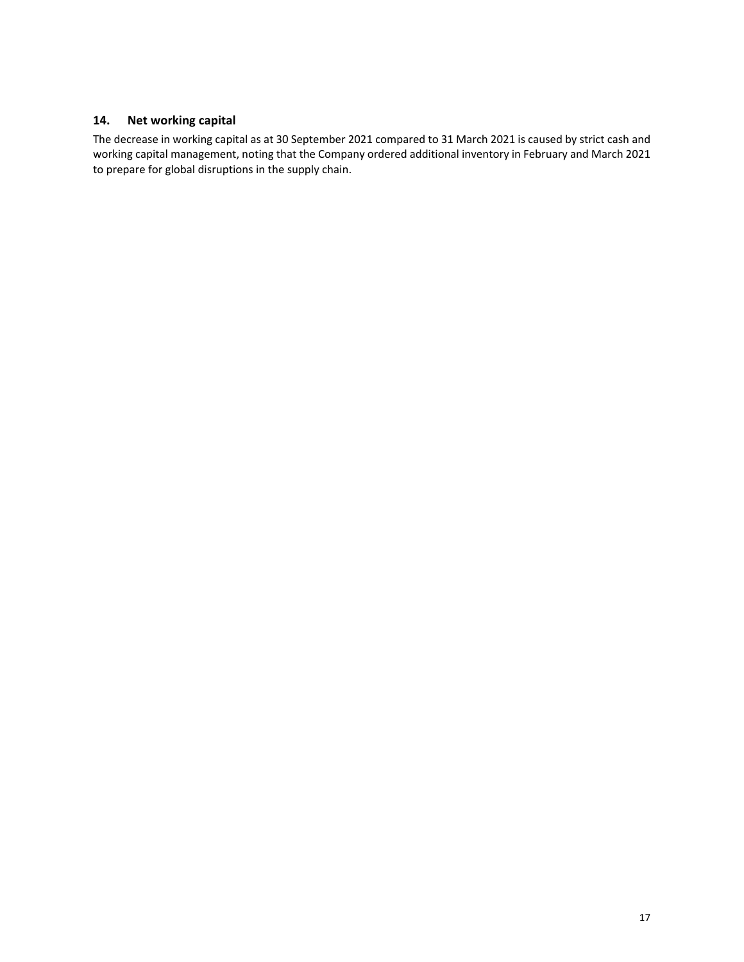# **14. Net working capital**

The decrease in working capital as at 30 September 2021 compared to 31 March 2021 is caused by strict cash and working capital management, noting that the Company ordered additional inventory in February and March 2021 to prepare for global disruptions in the supply chain.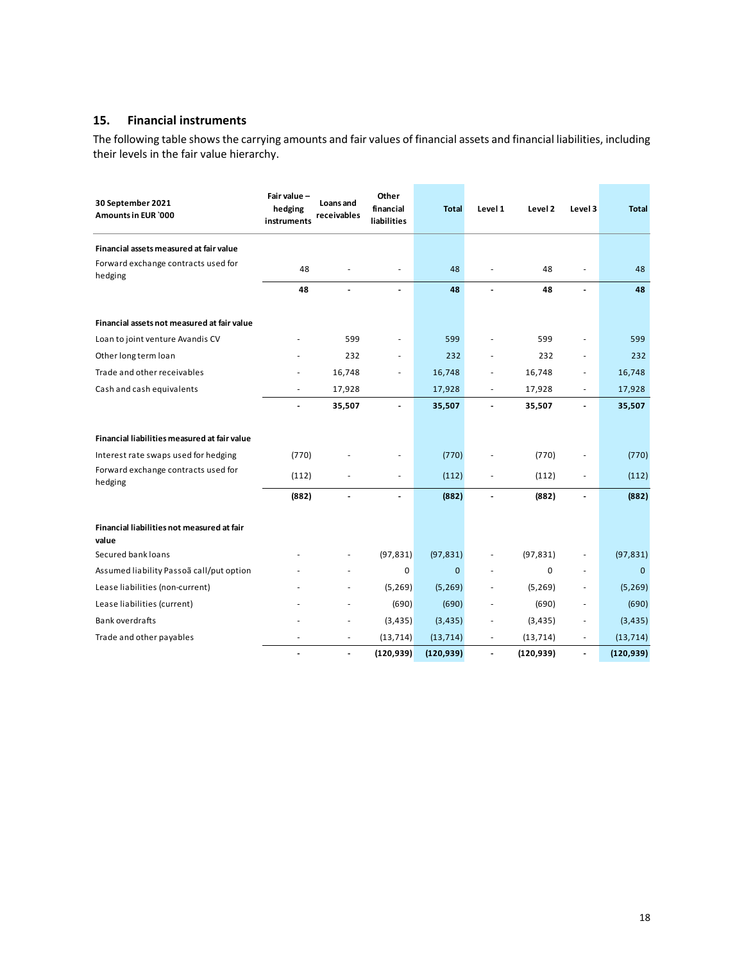# **15. Financial instruments**

The following table shows the carrying amounts and fair values of financial assets and financial liabilities, including their levels in the fair value hierarchy.

| 30 September 2021<br>Amounts in EUR `000            | Fair value-<br>hedging<br>instruments | Loans and<br>receivables | Other<br>financial<br>liabilities | <b>Total</b> | Level 1                  | Level 2     | Level 3                  | <b>Total</b> |
|-----------------------------------------------------|---------------------------------------|--------------------------|-----------------------------------|--------------|--------------------------|-------------|--------------------------|--------------|
| Financial assets measured at fair value             |                                       |                          |                                   |              |                          |             |                          |              |
| Forward exchange contracts used for<br>hedging      | 48                                    |                          | ÷.                                | 48           |                          | 48          |                          | 48           |
|                                                     | 48                                    |                          |                                   | 48           |                          | 48          | $\overline{\phantom{0}}$ | 48           |
| Financial assets not measured at fair value         |                                       |                          |                                   |              |                          |             |                          |              |
| Loan to joint venture Avandis CV                    |                                       | 599                      |                                   | 599          |                          | 599         |                          | 599          |
| Other long term loan                                |                                       | 232                      | ÷.                                | 232          |                          | 232         | ä,                       | 232          |
| Trade and other receivables                         |                                       | 16,748                   |                                   | 16,748       | -                        | 16,748      |                          | 16,748       |
| Cash and cash equivalents                           |                                       | 17,928                   |                                   | 17,928       | ٠                        | 17,928      | ٠                        | 17,928       |
|                                                     | Ĭ.                                    | 35,507                   | $\overline{a}$                    | 35,507       | $\overline{\phantom{a}}$ | 35,507      | $\overline{\phantom{0}}$ | 35,507       |
| Financial liabilities measured at fair value        |                                       |                          |                                   |              |                          |             |                          |              |
| Interest rate swaps used for hedging                | (770)                                 |                          |                                   | (770)        |                          | (770)       |                          | (770)        |
| Forward exchange contracts used for<br>hedging      | (112)                                 |                          |                                   | (112)        | ä,                       | (112)       | ÷.                       | (112)        |
|                                                     | (882)                                 |                          |                                   | (882)        |                          | (882)       | $\overline{a}$           | (882)        |
| Financial liabilities not measured at fair<br>value |                                       |                          |                                   |              |                          |             |                          |              |
| Secured bank loans                                  |                                       |                          | (97, 831)                         | (97, 831)    |                          | (97, 831)   |                          | (97, 831)    |
| Assumed liability Passoã call/put option            |                                       |                          | 0                                 | $\mathbf{0}$ |                          | $\mathbf 0$ | ÷.                       | $\mathbf 0$  |
| Lease liabilities (non-current)                     |                                       |                          | (5, 269)                          | (5, 269)     |                          | (5, 269)    | ÷.                       | (5, 269)     |
| Lease liabilities (current)                         |                                       |                          | (690)                             | (690)        |                          | (690)       | ٠                        | (690)        |
| <b>Bank overdrafts</b>                              |                                       | $\overline{\phantom{m}}$ | (3, 435)                          | (3, 435)     | ÷,                       | (3, 435)    | $\overline{\phantom{0}}$ | (3, 435)     |
| Trade and other payables                            |                                       |                          | (13, 714)                         | (13, 714)    |                          | (13, 714)   | ٠                        | (13, 714)    |
|                                                     | $\overline{a}$                        | $\overline{\phantom{a}}$ | (120, 939)                        | (120, 939)   | $\overline{\phantom{0}}$ | (120, 939)  | $\overline{\phantom{0}}$ | (120, 939)   |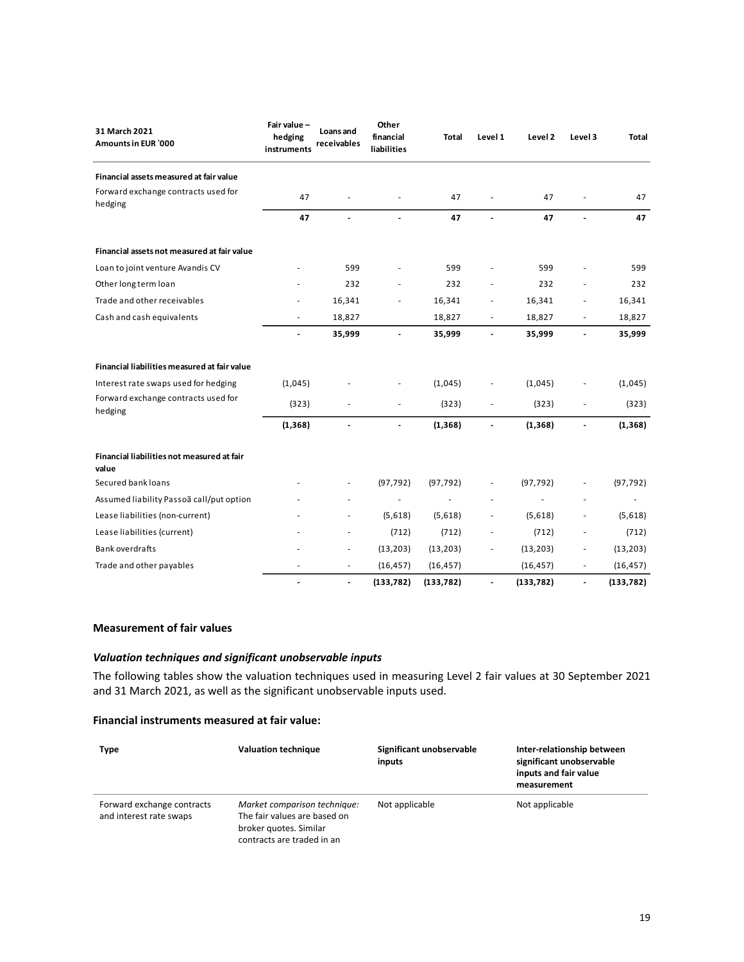| 31 March 2021<br>Amounts in EUR `000                | Fair value-<br>hedging<br>instruments | Loans and<br>receivables | Other<br>financial<br>liabilities | <b>Total</b> | Level 1                  | Level 2    | Level 3                  | <b>Total</b> |
|-----------------------------------------------------|---------------------------------------|--------------------------|-----------------------------------|--------------|--------------------------|------------|--------------------------|--------------|
| Financial assets measured at fair value             |                                       |                          |                                   |              |                          |            |                          |              |
| Forward exchange contracts used for<br>hedging      | 47                                    |                          |                                   | 47           |                          | 47         |                          | 47           |
|                                                     | 47                                    | $\overline{a}$           |                                   | 47           |                          | 47         |                          | 47           |
| Financial assets not measured at fair value         |                                       |                          |                                   |              |                          |            |                          |              |
| Loan to joint venture Avandis CV                    |                                       | 599                      |                                   | 599          |                          | 599        |                          | 599          |
| Other long term loan                                |                                       | 232                      |                                   | 232          |                          | 232        |                          | 232          |
| Trade and other receivables                         |                                       | 16,341                   |                                   | 16,341       |                          | 16,341     |                          | 16,341       |
| Cash and cash equivalents                           |                                       | 18,827                   |                                   | 18,827       |                          | 18,827     | $\overline{\phantom{a}}$ | 18,827       |
|                                                     |                                       | 35,999                   |                                   | 35,999       |                          | 35,999     |                          | 35,999       |
| Financial liabilities measured at fair value        |                                       |                          |                                   |              |                          |            |                          |              |
| Interest rate swaps used for hedging                | (1,045)                               |                          |                                   | (1,045)      |                          | (1,045)    |                          | (1,045)      |
| Forward exchange contracts used for<br>hedging      | (323)                                 |                          |                                   | (323)        |                          | (323)      |                          | (323)        |
|                                                     | (1, 368)                              | $\blacksquare$           | $\blacksquare$                    | (1, 368)     | $\overline{\phantom{a}}$ | (1, 368)   |                          | (1, 368)     |
| Financial liabilities not measured at fair<br>value |                                       |                          |                                   |              |                          |            |                          |              |
| Secured bank loans                                  |                                       |                          | (97, 792)                         | (97, 792)    |                          | (97, 792)  |                          | (97, 792)    |
| Assumed liability Passoã call/put option            |                                       |                          |                                   |              |                          |            |                          |              |
| Lease liabilities (non-current)                     |                                       |                          | (5,618)                           | (5,618)      |                          | (5,618)    |                          | (5,618)      |
| Lease liabilities (current)                         |                                       |                          | (712)                             | (712)        |                          | (712)      |                          | (712)        |
| Bank overdrafts                                     |                                       | $\overline{\phantom{a}}$ | (13, 203)                         | (13, 203)    |                          | (13, 203)  | $\overline{\phantom{a}}$ | (13, 203)    |
| Trade and other payables                            |                                       | $\overline{\phantom{a}}$ | (16, 457)                         | (16, 457)    |                          | (16, 457)  | $\frac{1}{2}$            | (16, 457)    |
|                                                     |                                       | $\blacksquare$           | (133, 782)                        | (133, 782)   |                          | (133, 782) | $\overline{a}$           | (133, 782)   |

#### **Measurement of fair values**

## *Valuation techniques and significant unobservable inputs*

The following tables show the valuation techniques used in measuring Level 2 fair values at 30 September 2021 and 31 March 2021, as well as the significant unobservable inputs used.

### **Financial instruments measured at fair value:**

| <b>Type</b>                                           | <b>Valuation technique</b>                                                                                           | Significant unobservable<br>inputs | Inter-relationship between<br>significant unobservable<br>inputs and fair value<br>measurement |
|-------------------------------------------------------|----------------------------------------------------------------------------------------------------------------------|------------------------------------|------------------------------------------------------------------------------------------------|
| Forward exchange contracts<br>and interest rate swaps | Market comparison technique:<br>The fair values are based on<br>broker quotes. Similar<br>contracts are traded in an | Not applicable                     | Not applicable                                                                                 |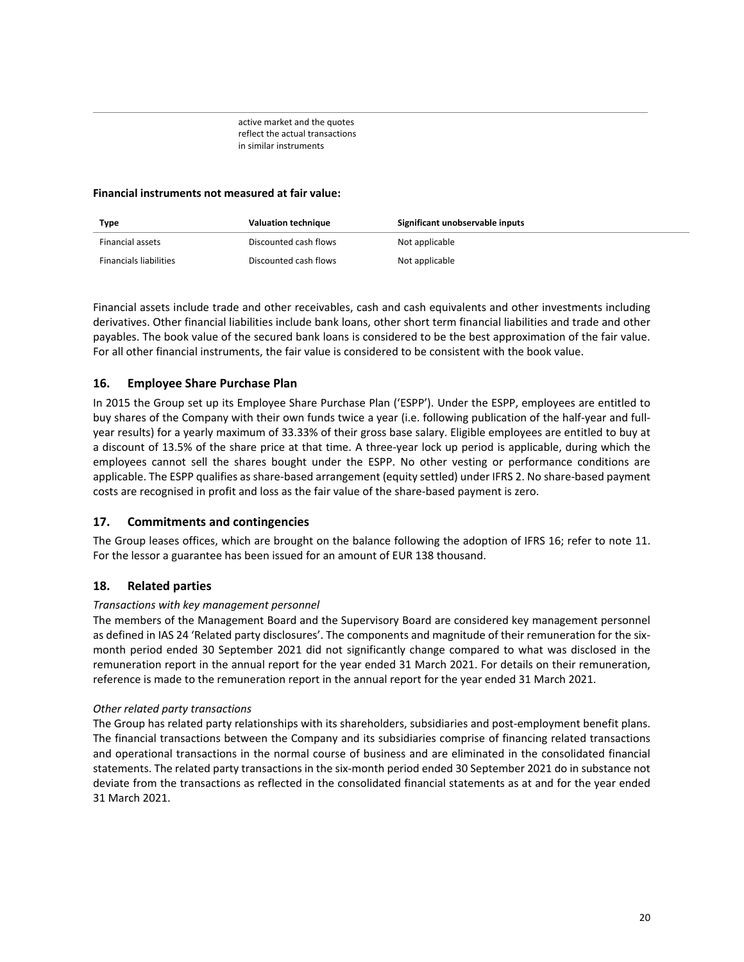active market and the quotes reflect the actual transactions in similar instruments

### **Financial instruments not measured at fair value:**

| <b>Type</b>                   | <b>Valuation technique</b> | Significant unobservable inputs |
|-------------------------------|----------------------------|---------------------------------|
| Financial assets              | Discounted cash flows      | Not applicable                  |
| <b>Financials liabilities</b> | Discounted cash flows      | Not applicable                  |

Financial assets include trade and other receivables, cash and cash equivalents and other investments including derivatives. Other financial liabilities include bank loans, other short term financial liabilities and trade and other payables. The book value of the secured bank loans is considered to be the best approximation of the fair value. For all other financial instruments, the fair value is considered to be consistent with the book value.

# **16. Employee Share Purchase Plan**

In 2015 the Group set up its Employee Share Purchase Plan ('ESPP'). Under the ESPP, employees are entitled to buy shares of the Company with their own funds twice a year (i.e. following publication of the half-year and fullyear results) for a yearly maximum of 33.33% of their gross base salary. Eligible employees are entitled to buy at a discount of 13.5% of the share price at that time. A three-year lock up period is applicable, during which the employees cannot sell the shares bought under the ESPP. No other vesting or performance conditions are applicable. The ESPP qualifies as share-based arrangement (equity settled) under IFRS 2. No share-based payment costs are recognised in profit and loss as the fair value of the share-based payment is zero.

### **17. Commitments and contingencies**

The Group leases offices, which are brought on the balance following the adoption of IFRS 16; refer to note 11. For the lessor a guarantee has been issued for an amount of EUR 138 thousand.

### **18. Related parties**

### *Transactions with key management personnel*

The members of the Management Board and the Supervisory Board are considered key management personnel as defined in IAS 24 'Related party disclosures'. The components and magnitude of their remuneration for the sixmonth period ended 30 September 2021 did not significantly change compared to what was disclosed in the remuneration report in the annual report for the year ended 31 March 2021. For details on their remuneration, reference is made to the remuneration report in the annual report for the year ended 31 March 2021.

#### *Other related party transactions*

The Group has related party relationships with its shareholders, subsidiaries and post-employment benefit plans. The financial transactions between the Company and its subsidiaries comprise of financing related transactions and operational transactions in the normal course of business and are eliminated in the consolidated financial statements. The related party transactions in the six-month period ended 30 September 2021 do in substance not deviate from the transactions as reflected in the consolidated financial statements as at and for the year ended 31 March 2021.